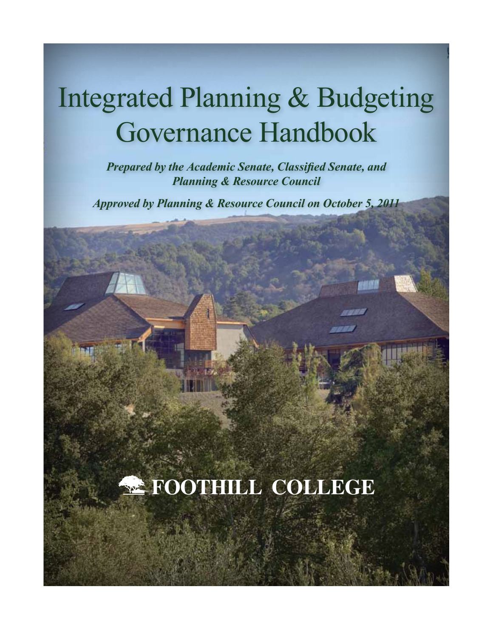# Integrated Planning & Budgeting Governance Handbook

*Prepared by the Academic Senate, Classified Senate, and Planning & Resource Council*

*Approved by Planning & Resource Council on October 5, 2011*

# **E** FOOTHILL COLLEGE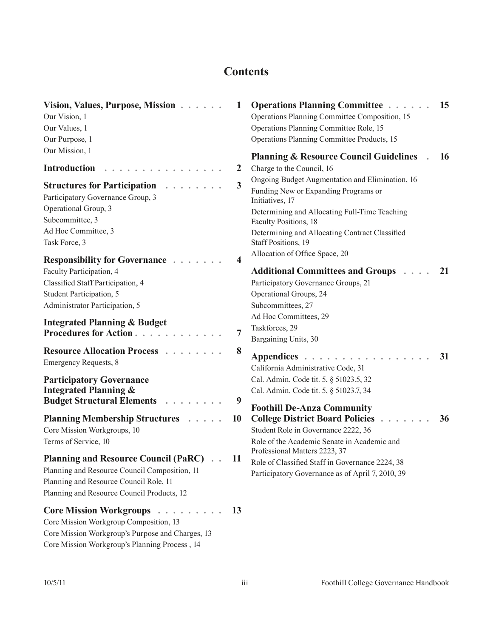## **Contents**

| Vision, Values, Purpose, Mission<br>Our Vision, 1<br>Our Values, 1<br>Our Purpose, 1                                                                                                 | 1                       | <b>Operations Planning Committee</b><br>Operations Planning Committee Composition, 15<br>Operations Planning Committee Role, 15<br>Operations Planning Committee Products, 15                                                                                 | 15 |
|--------------------------------------------------------------------------------------------------------------------------------------------------------------------------------------|-------------------------|---------------------------------------------------------------------------------------------------------------------------------------------------------------------------------------------------------------------------------------------------------------|----|
| Our Mission, 1<br><b>Introduction</b>                                                                                                                                                | 2                       | <b>Planning &amp; Resource Council Guidelines</b><br>Charge to the Council, 16                                                                                                                                                                                | 16 |
| <b>Structures for Participation</b><br>Participatory Governance Group, 3<br>Operational Group, 3<br>Subcommittee, 3<br>Ad Hoc Committee, 3<br>Task Force, 3                          | $\overline{\mathbf{3}}$ | Ongoing Budget Augmentation and Elimination, 16<br>Funding New or Expanding Programs or<br>Initiatives, 17<br>Determining and Allocating Full-Time Teaching<br>Faculty Positions, 18<br>Determining and Allocating Contract Classified<br>Staff Positions, 19 |    |
| <b>Responsibility for Governance</b>                                                                                                                                                 | $\overline{\mathbf{4}}$ | Allocation of Office Space, 20                                                                                                                                                                                                                                |    |
| Faculty Participation, 4<br>Classified Staff Participation, 4<br>Student Participation, 5<br>Administrator Participation, 5                                                          |                         | <b>Additional Committees and Groups</b><br>Participatory Governance Groups, 21<br>Operational Groups, 24<br>Subcommittees, 27                                                                                                                                 | 21 |
| <b>Integrated Planning &amp; Budget</b><br>Procedures for Action                                                                                                                     | 7                       | Ad Hoc Committees, 29<br>Taskforces, 29<br>Bargaining Units, 30                                                                                                                                                                                               |    |
| <b>Resource Allocation Process</b><br><b>Emergency Requests, 8</b>                                                                                                                   | 8                       | Appendices<br>California Administrative Code, 31                                                                                                                                                                                                              | 31 |
| <b>Participatory Governance</b><br><b>Integrated Planning &amp;</b><br><b>Budget Structural Elements</b>                                                                             | 9                       | Cal. Admin. Code tit. 5, § 51023.5, 32<br>Cal. Admin. Code tit. 5, § 51023.7, 34                                                                                                                                                                              |    |
| <b>Planning Membership Structures</b><br>Core Mission Workgroups, 10<br>Terms of Service, 10                                                                                         | 10                      | <b>Foothill De-Anza Community</b><br><b>College District Board Policies</b><br>Student Role in Governance 2222, 36<br>Role of the Academic Senate in Academic and                                                                                             | 36 |
| <b>Planning and Resource Council (PaRC)</b><br>Planning and Resource Council Composition, 11<br>Planning and Resource Council Role, 11<br>Planning and Resource Council Products, 12 | 11                      | Professional Matters 2223, 37<br>Role of Classified Staff in Governance 2224, 38<br>Participatory Governance as of April 7, 2010, 39                                                                                                                          |    |
| <b>Core Mission Workgroups</b><br>Core Mission Workgroup Composition, 13<br>Core Mission Workgroup's Purpose and Charges, 13                                                         | 13                      |                                                                                                                                                                                                                                                               |    |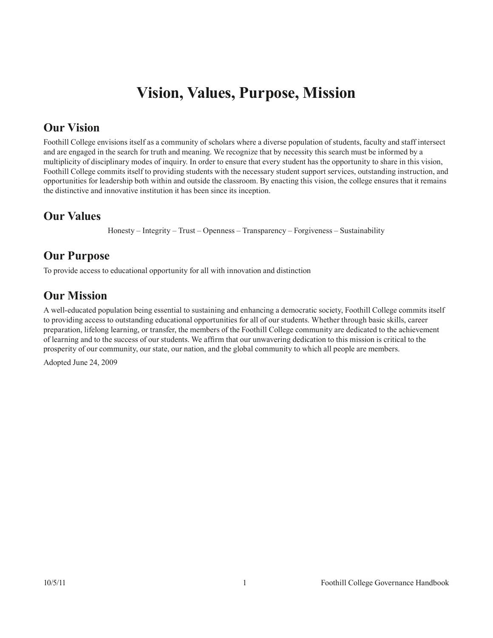## **Vision, Values, Purpose, Mission**

## <span id="page-3-0"></span>**Our Vision**

Foothill College envisions itself as a community of scholars where a diverse population of students, faculty and staff intersect and are engaged in the search for truth and meaning. We recognize that by necessity this search must be informed by a multiplicity of disciplinary modes of inquiry. In order to ensure that every student has the opportunity to share in this vision, Foothill College commits itself to providing students with the necessary student support services, outstanding instruction, and opportunities for leadership both within and outside the classroom. By enacting this vision, the college ensures that it remains the distinctive and innovative institution it has been since its inception.

## **Our Values**

Honesty – Integrity – Trust – Openness – Transparency – Forgiveness – Sustainability

## **Our Purpose**

To provide access to educational opportunity for all with innovation and distinction

## **Our Mission**

A well-educated population being essential to sustaining and enhancing a democratic society, Foothill College commits itself to providing access to outstanding educational opportunities for all of our students. Whether through basic skills, career preparation, lifelong learning, or transfer, the members of the Foothill College community are dedicated to the achievement of learning and to the success of our students. We affirm that our unwavering dedication to this mission is critical to the prosperity of our community, our state, our nation, and the global community to which all people are members.

Adopted June 24, 2009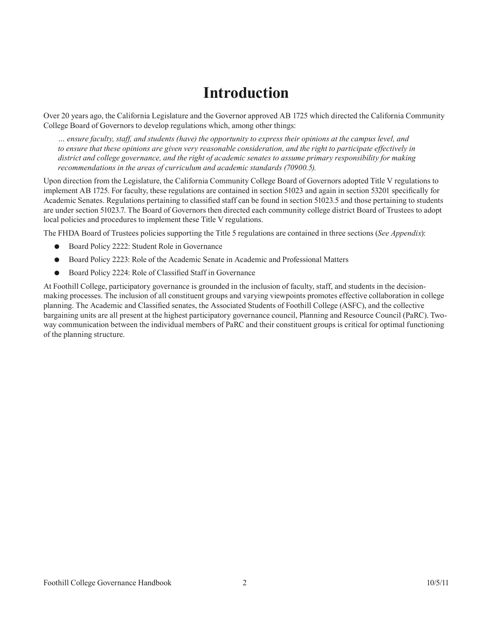## **Introduction**

<span id="page-4-0"></span>Over 20 years ago, the California Legislature and the Governor approved AB 1725 which directed the California Community College Board of Governors to develop regulations which, among other things:

*… ensure faculty, staff, and students (have) the opportunity to express their opinions at the campus level, and to ensure that these opinions are given very reasonable consideration, and the right to participate effectively in district and college governance, and the right of academic senates to assume primary responsibility for making recommendations in the areas of curriculum and academic standards (70900.5).*

Upon direction from the Legislature, the California Community College Board of Governors adopted Title V regulations to implement AB 1725. For faculty, these regulations are contained in section 51023 and again in section 53201 specifically for Academic Senates. Regulations pertaining to classified staff can be found in section 51023.5 and those pertaining to students are under section 51023.7. The Board of Governors then directed each community college district Board of Trustees to adopt local policies and procedures to implement these Title V regulations.

The FHDA Board of Trustees policies supporting the Title 5 regulations are contained in three sections (*See Appendix*):

- Board Policy 2222: Student Role in Governance
- Board Policy 2223: Role of the Academic Senate in Academic and Professional Matters
- Board Policy 2224: Role of Classified Staff in Governance

At Foothill College, participatory governance is grounded in the inclusion of faculty, staff, and students in the decisionmaking processes. The inclusion of all constituent groups and varying viewpoints promotes effective collaboration in college planning. The Academic and Classified senates, the Associated Students of Foothill College (ASFC), and the collective bargaining units are all present at the highest participatory governance council, Planning and Resource Council (PaRC). Twoway communication between the individual members of PaRC and their constituent groups is critical for optimal functioning of the planning structure.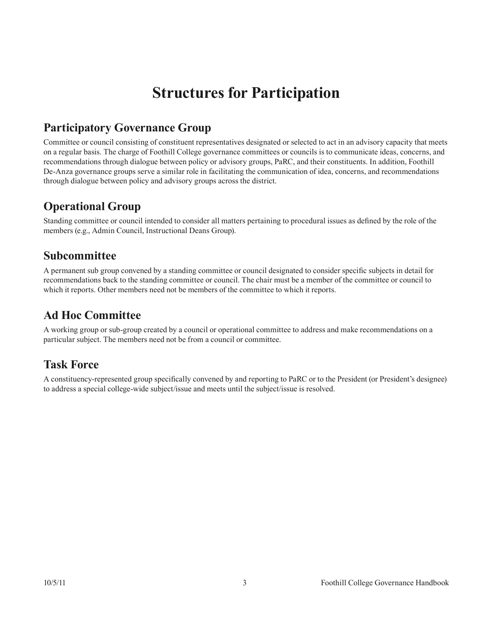## **Structures for Participation**

## <span id="page-5-0"></span>**Participatory Governance Group**

Committee or council consisting of constituent representatives designated or selected to act in an advisory capacity that meets on a regular basis. The charge of Foothill College governance committees or councils is to communicate ideas, concerns, and recommendations through dialogue between policy or advisory groups, PaRC, and their constituents. In addition, Foothill De-Anza governance groups serve a similar role in facilitating the communication of idea, concerns, and recommendations through dialogue between policy and advisory groups across the district.

## **Operational Group**

Standing committee or council intended to consider all matters pertaining to procedural issues as defined by the role of the members (e.g., Admin Council, Instructional Deans Group).

### **Subcommittee**

A permanent sub group convened by a standing committee or council designated to consider specific subjects in detail for recommendations back to the standing committee or council. The chair must be a member of the committee or council to which it reports. Other members need not be members of the committee to which it reports.

## **Ad Hoc Committee**

A working group or sub-group created by a council or operational committee to address and make recommendations on a particular subject. The members need not be from a council or committee.

## **Task Force**

A constituency-represented group specifically convened by and reporting to PaRC or to the President (or President's designee) to address a special college-wide subject/issue and meets until the subject/issue is resolved.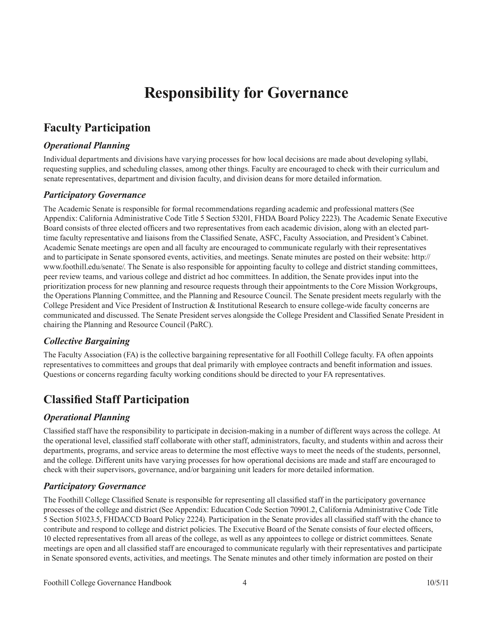## **Responsibility for Governance**

## <span id="page-6-0"></span>**Faculty Participation**

#### *Operational Planning*

Individual departments and divisions have varying processes for how local decisions are made about developing syllabi, requesting supplies, and scheduling classes, among other things. Faculty are encouraged to check with their curriculum and senate representatives, department and division faculty, and division deans for more detailed information.

#### *Participatory Governance*

The Academic Senate is responsible for formal recommendations regarding academic and professional matters (See Appendix: California Administrative Code Title 5 Section 53201, FHDA Board Policy 2223). The Academic Senate Executive Board consists of three elected officers and two representatives from each academic division, along with an elected parttime faculty representative and liaisons from the Classified Senate, ASFC, Faculty Association, and President's Cabinet. Academic Senate meetings are open and all faculty are encouraged to communicate regularly with their representatives and to participate in Senate sponsored events, activities, and meetings. Senate minutes are posted on their website: http:// www.foothill.edu/senate/. The Senate is also responsible for appointing faculty to college and district standing committees, peer review teams, and various college and district ad hoc committees. In addition, the Senate provides input into the prioritization process for new planning and resource requests through their appointments to the Core Mission Workgroups, the Operations Planning Committee, and the Planning and Resource Council. The Senate president meets regularly with the College President and Vice President of Instruction & Institutional Research to ensure college-wide faculty concerns are communicated and discussed. The Senate President serves alongside the College President and Classified Senate President in chairing the Planning and Resource Council (PaRC).

#### *Collective Bargaining*

The Faculty Association (FA) is the collective bargaining representative for all Foothill College faculty. FA often appoints representatives to committees and groups that deal primarily with employee contracts and benefit information and issues. Questions or concerns regarding faculty working conditions should be directed to your FA representatives.

### **Classified Staff Participation**

#### *Operational Planning*

Classified staff have the responsibility to participate in decision-making in a number of different ways across the college. At the operational level, classified staff collaborate with other staff, administrators, faculty, and students within and across their departments, programs, and service areas to determine the most effective ways to meet the needs of the students, personnel, and the college. Different units have varying processes for how operational decisions are made and staff are encouraged to check with their supervisors, governance, and/or bargaining unit leaders for more detailed information.

#### *Participatory Governance*

The Foothill College Classified Senate is responsible for representing all classified staff in the participatory governance processes of the college and district (See Appendix: Education Code Section 70901.2, California Administrative Code Title 5 Section 51023.5, FHDACCD Board Policy 2224). Participation in the Senate provides all classified staff with the chance to contribute and respond to college and district policies. The Executive Board of the Senate consists of four elected officers, 10 elected representatives from all areas of the college, as well as any appointees to college or district committees. Senate meetings are open and all classified staff are encouraged to communicate regularly with their representatives and participate in Senate sponsored events, activities, and meetings. The Senate minutes and other timely information are posted on their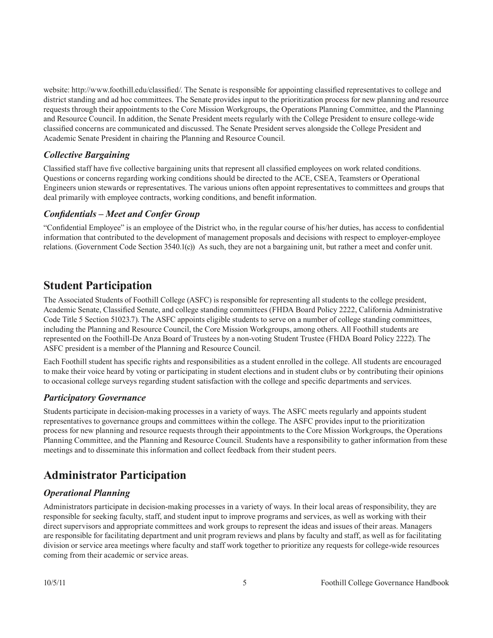<span id="page-7-0"></span>website: http://www.foothill.edu/classified/. The Senate is responsible for appointing classified representatives to college and district standing and ad hoc committees. The Senate provides input to the prioritization process for new planning and resource requests through their appointments to the Core Mission Workgroups, the Operations Planning Committee, and the Planning and Resource Council. In addition, the Senate President meets regularly with the College President to ensure college-wide classified concerns are communicated and discussed. The Senate President serves alongside the College President and Academic Senate President in chairing the Planning and Resource Council.

#### *Collective Bargaining*

Classified staff have five collective bargaining units that represent all classified employees on work related conditions. Questions or concerns regarding working conditions should be directed to the ACE, CSEA, Teamsters or Operational Engineers union stewards or representatives. The various unions often appoint representatives to committees and groups that deal primarily with employee contracts, working conditions, and benefit information.

#### *Confidentials – Meet and Confer Group*

"Confidential Employee" is an employee of the District who, in the regular course of his/her duties, has access to confidential information that contributed to the development of management proposals and decisions with respect to employer-employee relations. (Government Code Section 3540.1(c)) As such, they are not a bargaining unit, but rather a meet and confer unit.

### **Student Participation**

The Associated Students of Foothill College (ASFC) is responsible for representing all students to the college president, Academic Senate, Classified Senate, and college standing committees (FHDA Board Policy 2222, California Administrative Code Title 5 Section 51023.7). The ASFC appoints eligible students to serve on a number of college standing committees, including the Planning and Resource Council, the Core Mission Workgroups, among others. All Foothill students are represented on the Foothill-De Anza Board of Trustees by a non-voting Student Trustee (FHDA Board Policy 2222). The ASFC president is a member of the Planning and Resource Council.

Each Foothill student has specific rights and responsibilities as a student enrolled in the college. All students are encouraged to make their voice heard by voting or participating in student elections and in student clubs or by contributing their opinions to occasional college surveys regarding student satisfaction with the college and specific departments and services.

#### *Participatory Governance*

Students participate in decision-making processes in a variety of ways. The ASFC meets regularly and appoints student representatives to governance groups and committees within the college. The ASFC provides input to the prioritization process for new planning and resource requests through their appointments to the Core Mission Workgroups, the Operations Planning Committee, and the Planning and Resource Council. Students have a responsibility to gather information from these meetings and to disseminate this information and collect feedback from their student peers.

## **Administrator Participation**

#### *Operational Planning*

Administrators participate in decision-making processes in a variety of ways. In their local areas of responsibility, they are responsible for seeking faculty, staff, and student input to improve programs and services, as well as working with their direct supervisors and appropriate committees and work groups to represent the ideas and issues of their areas. Managers are responsible for facilitating department and unit program reviews and plans by faculty and staff, as well as for facilitating division or service area meetings where faculty and staff work together to prioritize any requests for college-wide resources coming from their academic or service areas.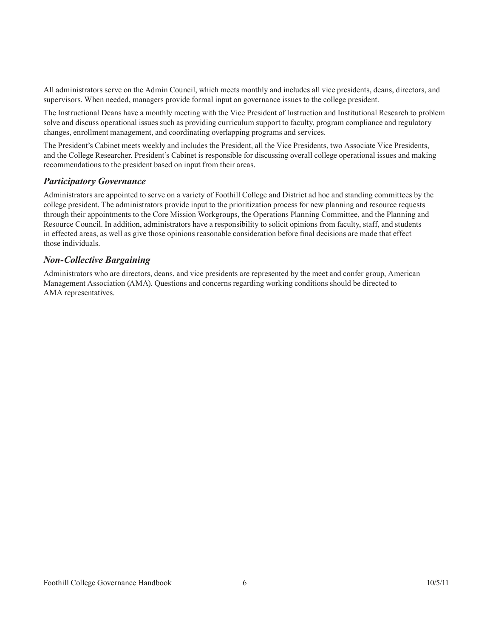All administrators serve on the Admin Council, which meets monthly and includes all vice presidents, deans, directors, and supervisors. When needed, managers provide formal input on governance issues to the college president.

The Instructional Deans have a monthly meeting with the Vice President of Instruction and Institutional Research to problem solve and discuss operational issues such as providing curriculum support to faculty, program compliance and regulatory changes, enrollment management, and coordinating overlapping programs and services.

The President's Cabinet meets weekly and includes the President, all the Vice Presidents, two Associate Vice Presidents, and the College Researcher. President's Cabinet is responsible for discussing overall college operational issues and making recommendations to the president based on input from their areas.

#### *Participatory Governance*

Administrators are appointed to serve on a variety of Foothill College and District ad hoc and standing committees by the college president. The administrators provide input to the prioritization process for new planning and resource requests through their appointments to the Core Mission Workgroups, the Operations Planning Committee, and the Planning and Resource Council. In addition, administrators have a responsibility to solicit opinions from faculty, staff, and students in effected areas, as well as give those opinions reasonable consideration before final decisions are made that effect those individuals.

#### *Non-Collective Bargaining*

Administrators who are directors, deans, and vice presidents are represented by the meet and confer group, American Management Association (AMA). Questions and concerns regarding working conditions should be directed to AMA representatives.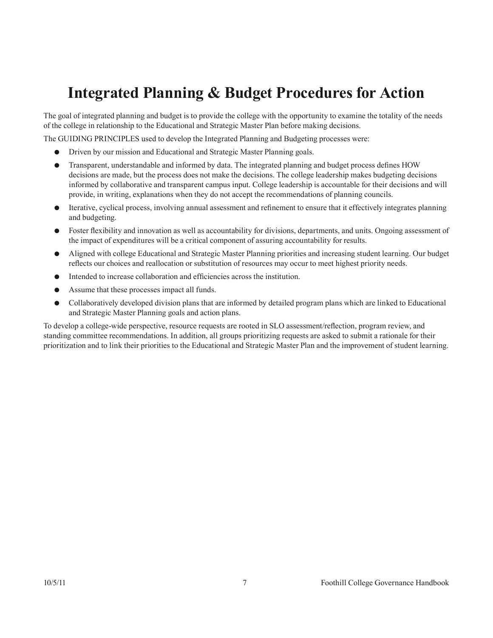## <span id="page-9-0"></span>**Integrated Planning & Budget Procedures for Action**

The goal of integrated planning and budget is to provide the college with the opportunity to examine the totality of the needs of the college in relationship to the Educational and Strategic Master Plan before making decisions.

The GUIDING PRINCIPLES used to develop the Integrated Planning and Budgeting processes were:

- Driven by our mission and Educational and Strategic Master Planning goals.
- Transparent, understandable and informed by data. The integrated planning and budget process defines HOW decisions are made, but the process does not make the decisions. The college leadership makes budgeting decisions informed by collaborative and transparent campus input. College leadership is accountable for their decisions and will provide, in writing, explanations when they do not accept the recommendations of planning councils.
- Iterative, cyclical process, involving annual assessment and refinement to ensure that it effectively integrates planning and budgeting.
- Foster flexibility and innovation as well as accountability for divisions, departments, and units. Ongoing assessment of the impact of expenditures will be a critical component of assuring accountability for results.
- Aligned with college Educational and Strategic Master Planning priorities and increasing student learning. Our budget reflects our choices and reallocation or substitution of resources may occur to meet highest priority needs.
- Intended to increase collaboration and efficiencies across the institution.
- Assume that these processes impact all funds.
- Collaboratively developed division plans that are informed by detailed program plans which are linked to Educational and Strategic Master Planning goals and action plans.

To develop a college-wide perspective, resource requests are rooted in SLO assessment/reflection, program review, and standing committee recommendations. In addition, all groups prioritizing requests are asked to submit a rationale for their prioritization and to link their priorities to the Educational and Strategic Master Plan and the improvement of student learning.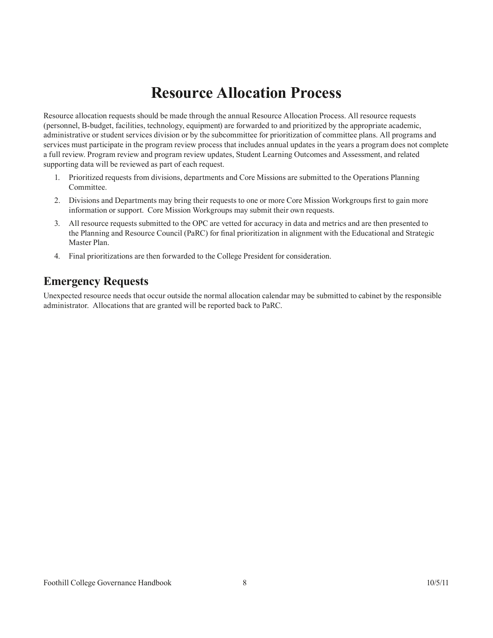## **Resource Allocation Process**

<span id="page-10-0"></span>Resource allocation requests should be made through the annual Resource Allocation Process. All resource requests (personnel, B-budget, facilities, technology, equipment) are forwarded to and prioritized by the appropriate academic, administrative or student services division or by the subcommittee for prioritization of committee plans. All programs and services must participate in the program review process that includes annual updates in the years a program does not complete a full review. Program review and program review updates, Student Learning Outcomes and Assessment, and related supporting data will be reviewed as part of each request.

- 1. Prioritized requests from divisions, departments and Core Missions are submitted to the Operations Planning Committee.
- 2. Divisions and Departments may bring their requests to one or more Core Mission Workgroups first to gain more information or support. Core Mission Workgroups may submit their own requests.
- 3. All resource requests submitted to the OPC are vetted for accuracy in data and metrics and are then presented to the Planning and Resource Council (PaRC) for final prioritization in alignment with the Educational and Strategic Master Plan.
- 4. Final prioritizations are then forwarded to the College President for consideration.

### **Emergency Requests**

Unexpected resource needs that occur outside the normal allocation calendar may be submitted to cabinet by the responsible administrator. Allocations that are granted will be reported back to PaRC.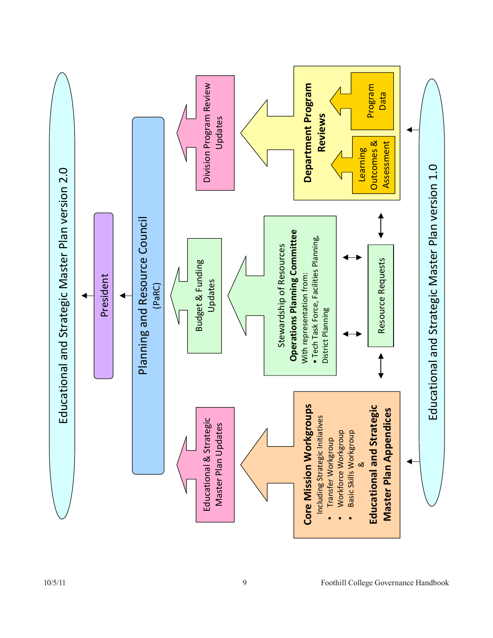<span id="page-11-0"></span>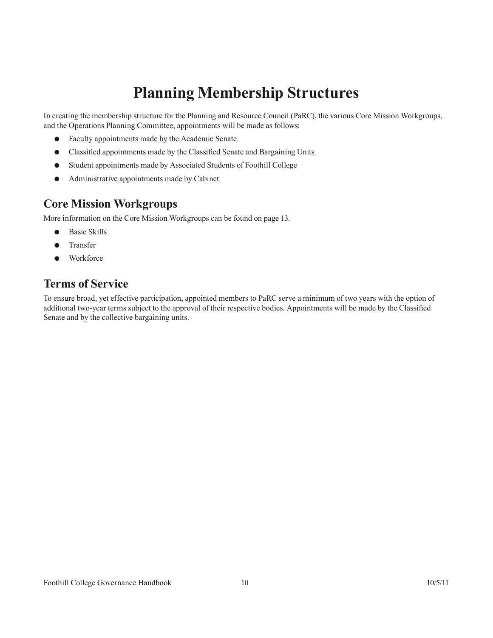## **Planning Membership Structures**

<span id="page-12-0"></span>In creating the membership structure for the Planning and Resource Council (PaRC), the various Core Mission Workgroups, and the Operations Planning Committee, appointments will be made as follows:

- Faculty appointments made by the Academic Senate
- Classified appointments made by the Classified Senate and Bargaining Units
- Student appointments made by Associated Students of Foothill College
- Administrative appointments made by Cabinet

### **Core Mission Workgroups**

More information on the Core Mission Workgroups can be found on [page 13.](#page-15-1)

- **Basic Skills**
- **Transfer**
- Workforce

### **Terms of Service**

To ensure broad, yet effective participation, appointed members to PaRC serve a minimum of two years with the option of additional two-year terms subject to the approval of their respective bodies. Appointments will be made by the Classified Senate and by the collective bargaining units.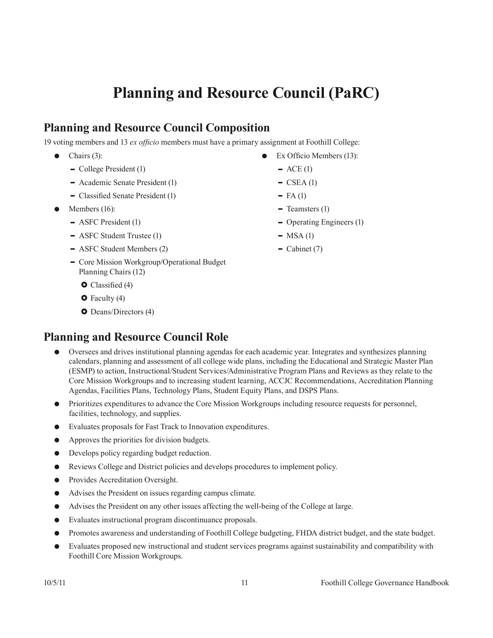## **Planning and Resource Council (PaRC)**

## <span id="page-13-0"></span>**Planning and Resource Council Composition**

19 voting members and 13 *ex officio* members must have a primary assignment at Foothill College:

- $\bullet$  Chairs (3):
	- College President (1)
	- Academic Senate President (1)
	- Classified Senate President (1)
- Members  $(16)$ :
	- ASFC President (1)
	- ASFC Student Trustee (1)
	- ASFC Student Members (2)
	- Core Mission Workgroup/Operational Budget Planning Chairs (12)
		- $\bullet$  Classified (4)
		- $\bullet$  Faculty (4)
		- **O** Deans/Directors (4)

## **Planning and Resource Council Role**

- Oversees and drives institutional planning agendas for each academic year. Integrates and synthesizes planning calendars, planning and assessment of all college wide plans, including the Educational and Strategic Master Plan (ESMP) to action, Instructional/Student Services/Administrative Program Plans and Reviews as they relate to the Core Mission Workgroups and to increasing student learning, ACCJC Recommendations, Accreditation Planning Agendas, Facilities Plans, Technology Plans, Student Equity Plans, and DSPS Plans.
- Prioritizes expenditures to advance the Core Mission Workgroups including resource requests for personnel, facilities, technology, and supplies.
- Evaluates proposals for Fast Track to Innovation expenditures.
- Approves the priorities for division budgets.
- Develops policy regarding budget reduction.
- Reviews College and District policies and develops procedures to implement policy.
- Provides Accreditation Oversight.
- Advises the President on issues regarding campus climate.
- Advises the President on any other issues affecting the well-being of the College at large.
- Evaluates instructional program discontinuance proposals.
- Promotes awareness and understanding of Foothill College budgeting, FHDA district budget, and the state budget.
- Evaluates proposed new instructional and student services programs against sustainability and compatibility with Foothill Core Mission Workgroups.
- Ex Officio Members (13):
	- $-$  ACE (1)
	- $\overline{\text{CSEA}}$  (1)
	- $-$  FA (1)
	- $\blacksquare$  Teamsters (1)
	- Operating Engineers (1)
	- $-$  MSA (1)
	- $\overline{\phantom{a}}$  Cabinet (7)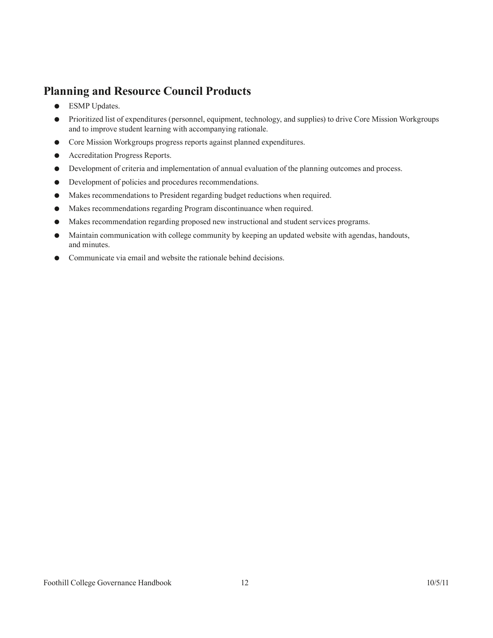## <span id="page-14-0"></span>**Planning and Resource Council Products**

- ESMP Updates.
- Prioritized list of expenditures (personnel, equipment, technology, and supplies) to drive Core Mission Workgroups and to improve student learning with accompanying rationale.
- Core Mission Workgroups progress reports against planned expenditures.
- Accreditation Progress Reports.
- Development of criteria and implementation of annual evaluation of the planning outcomes and process.
- Development of policies and procedures recommendations.
- Makes recommendations to President regarding budget reductions when required.
- Makes recommendations regarding Program discontinuance when required.
- Makes recommendation regarding proposed new instructional and student services programs.
- Maintain communication with college community by keeping an updated website with agendas, handouts, and minutes.
- Communicate via email and website the rationale behind decisions.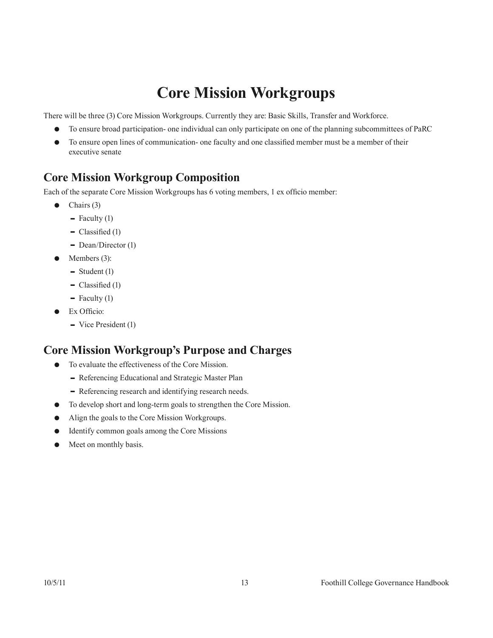## <span id="page-15-1"></span>**Core Mission Workgroups**

<span id="page-15-0"></span>There will be three (3) Core Mission Workgroups. Currently they are: Basic Skills, Transfer and Workforce.

- To ensure broad participation- one individual can only participate on one of the planning subcommittees of PaRC
- To ensure open lines of communication- one faculty and one classified member must be a member of their executive senate

### **Core Mission Workgroup Composition**

Each of the separate Core Mission Workgroups has 6 voting members, 1 ex officio member:

- $\bullet$  Chairs (3)
	- $\blacksquare$  Faculty (1)
	- $\blacksquare$  Classified (1)
	- $\blacksquare$  Dean/Director (1)
- $\bullet$  Members (3):
	- $\blacksquare$  Student (1)
	- $\blacksquare$  Classified (1)
	- $\blacksquare$  Faculty (1)
- Ex Officio:
	- Vice President (1)

### **Core Mission Workgroup's Purpose and Charges**

- To evaluate the effectiveness of the Core Mission.
	- Referencing Educational and Strategic Master Plan
	- Referencing research and identifying research needs.
- To develop short and long-term goals to strengthen the Core Mission.
- Align the goals to the Core Mission Workgroups.
- Identify common goals among the Core Missions
- Meet on monthly basis.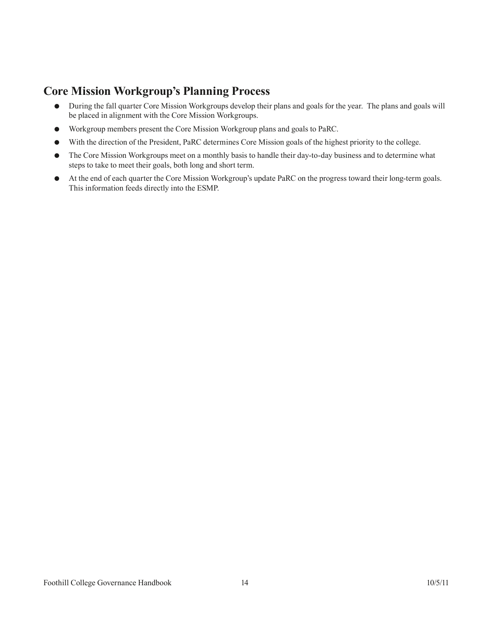## <span id="page-16-0"></span>**Core Mission Workgroup's Planning Process**

- During the fall quarter Core Mission Workgroups develop their plans and goals for the year. The plans and goals will be placed in alignment with the Core Mission Workgroups.
- Workgroup members present the Core Mission Workgroup plans and goals to PaRC.
- With the direction of the President, PaRC determines Core Mission goals of the highest priority to the college.
- The Core Mission Workgroups meet on a monthly basis to handle their day-to-day business and to determine what steps to take to meet their goals, both long and short term.
- At the end of each quarter the Core Mission Workgroup's update PaRC on the progress toward their long-term goals. This information feeds directly into the ESMP.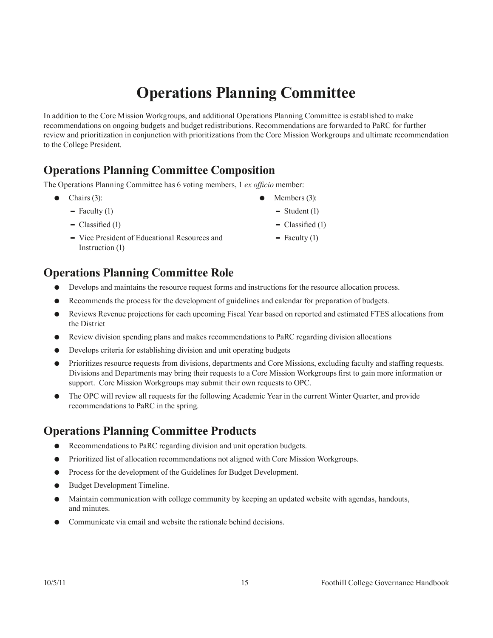## **Operations Planning Committee**

<span id="page-17-0"></span>In addition to the Core Mission Workgroups, and additional Operations Planning Committee is established to make recommendations on ongoing budgets and budget redistributions. Recommendations are forwarded to PaRC for further review and prioritization in conjunction with prioritizations from the Core Mission Workgroups and ultimate recommendation to the College President.

## **Operations Planning Committee Composition**

The Operations Planning Committee has 6 voting members, 1 *ex officio* member:

- $\bullet$  Chairs (3):
	- $\blacksquare$  Faculty (1)
	- $\blacksquare$  Classified (1)
	- Vice President of Educational Resources and Instruction (1)

## **Operations Planning Committee Role**

- Develops and maintains the resource request forms and instructions for the resource allocation process.
- Recommends the process for the development of guidelines and calendar for preparation of budgets.
- Reviews Revenue projections for each upcoming Fiscal Year based on reported and estimated FTES allocations from the District
- Review division spending plans and makes recommendations to PaRC regarding division allocations
- Develops criteria for establishing division and unit operating budgets
- Prioritizes resource requests from divisions, departments and Core Missions, excluding faculty and staffing requests. Divisions and Departments may bring their requests to a Core Mission Workgroups first to gain more information or support. Core Mission Workgroups may submit their own requests to OPC.
- The OPC will review all requests for the following Academic Year in the current Winter Quarter, and provide recommendations to PaRC in the spring.

## **Operations Planning Committee Products**

- Recommendations to PaRC regarding division and unit operation budgets.
- Prioritized list of allocation recommendations not aligned with Core Mission Workgroups.
- Process for the development of the Guidelines for Budget Development.
- **Budget Development Timeline.**
- Maintain communication with college community by keeping an updated website with agendas, handouts, and minutes.
- Communicate via email and website the rationale behind decisions.
- Members (3):
- $\blacksquare$  Student (1)
- $\blacksquare$  Classified (1)
- $\blacksquare$  Faculty (1)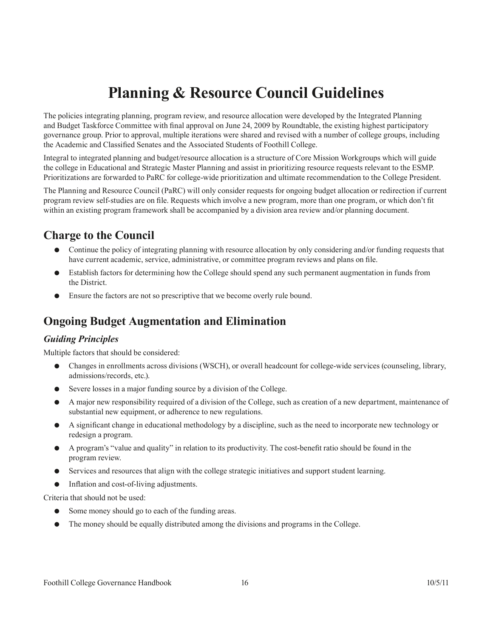## **Planning & Resource Council Guidelines**

<span id="page-18-0"></span>The policies integrating planning, program review, and resource allocation were developed by the Integrated Planning and Budget Taskforce Committee with final approval on June 24, 2009 by Roundtable, the existing highest participatory governance group. Prior to approval, multiple iterations were shared and revised with a number of college groups, including the Academic and Classified Senates and the Associated Students of Foothill College.

Integral to integrated planning and budget/resource allocation is a structure of Core Mission Workgroups which will guide the college in Educational and Strategic Master Planning and assist in prioritizing resource requests relevant to the ESMP. Prioritizations are forwarded to PaRC for college-wide prioritization and ultimate recommendation to the College President.

The Planning and Resource Council (PaRC) will only consider requests for ongoing budget allocation or redirection if current program review self-studies are on file. Requests which involve a new program, more than one program, or which don't fit within an existing program framework shall be accompanied by a division area review and/or planning document.

### **Charge to the Council**

- Continue the policy of integrating planning with resource allocation by only considering and/or funding requests that have current academic, service, administrative, or committee program reviews and plans on file.
- Establish factors for determining how the College should spend any such permanent augmentation in funds from the District.
- Ensure the factors are not so prescriptive that we become overly rule bound.

### **Ongoing Budget Augmentation and Elimination**

#### *Guiding Principles*

Multiple factors that should be considered:

- Changes in enrollments across divisions (WSCH), or overall headcount for college-wide services (counseling, library, admissions/records, etc.).
- Severe losses in a major funding source by a division of the College.
- A major new responsibility required of a division of the College, such as creation of a new department, maintenance of substantial new equipment, or adherence to new regulations.
- A significant change in educational methodology by a discipline, such as the need to incorporate new technology or redesign a program.
- A program's "value and quality" in relation to its productivity. The cost-benefit ratio should be found in the program review.
- Services and resources that align with the college strategic initiatives and support student learning.
- Inflation and cost-of-living adjustments.

Criteria that should not be used:

- Some money should go to each of the funding areas.
- The money should be equally distributed among the divisions and programs in the College.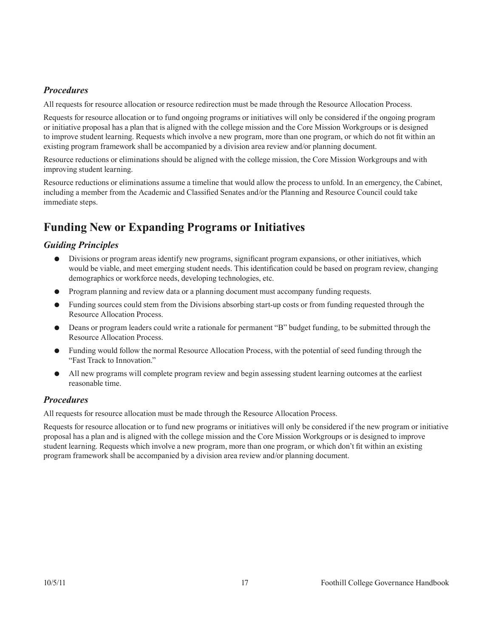#### <span id="page-19-0"></span>*Procedures*

All requests for resource allocation or resource redirection must be made through the Resource Allocation Process.

Requests for resource allocation or to fund ongoing programs or initiatives will only be considered if the ongoing program or initiative proposal has a plan that is aligned with the college mission and the Core Mission Workgroups or is designed to improve student learning. Requests which involve a new program, more than one program, or which do not fit within an existing program framework shall be accompanied by a division area review and/or planning document.

Resource reductions or eliminations should be aligned with the college mission, the Core Mission Workgroups and with improving student learning.

Resource reductions or eliminations assume a timeline that would allow the process to unfold. In an emergency, the Cabinet, including a member from the Academic and Classified Senates and/or the Planning and Resource Council could take immediate steps.

## **Funding New or Expanding Programs or Initiatives**

#### *Guiding Principles*

- Divisions or program areas identify new programs, significant program expansions, or other initiatives, which would be viable, and meet emerging student needs. This identification could be based on program review, changing demographics or workforce needs, developing technologies, etc.
- Program planning and review data or a planning document must accompany funding requests.
- Funding sources could stem from the Divisions absorbing start-up costs or from funding requested through the Resource Allocation Process.
- Deans or program leaders could write a rationale for permanent "B" budget funding, to be submitted through the Resource Allocation Process.
- Funding would follow the normal Resource Allocation Process, with the potential of seed funding through the "Fast Track to Innovation."
- All new programs will complete program review and begin assessing student learning outcomes at the earliest reasonable time.

#### *Procedures*

All requests for resource allocation must be made through the Resource Allocation Process.

Requests for resource allocation or to fund new programs or initiatives will only be considered if the new program or initiative proposal has a plan and is aligned with the college mission and the Core Mission Workgroups or is designed to improve student learning. Requests which involve a new program, more than one program, or which don't fit within an existing program framework shall be accompanied by a division area review and/or planning document.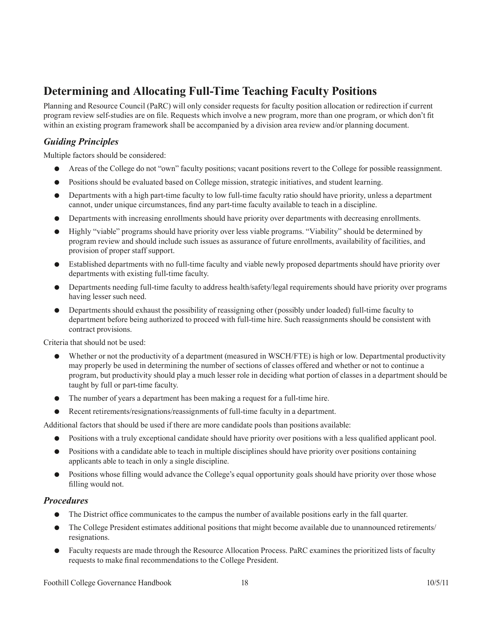## <span id="page-20-0"></span>**Determining and Allocating Full-Time Teaching Faculty Positions**

Planning and Resource Council (PaRC) will only consider requests for faculty position allocation or redirection if current program review self-studies are on file. Requests which involve a new program, more than one program, or which don't fit within an existing program framework shall be accompanied by a division area review and/or planning document.

#### *Guiding Principles*

Multiple factors should be considered:

- Areas of the College do not "own" faculty positions; vacant positions revert to the College for possible reassignment.
- Positions should be evaluated based on College mission, strategic initiatives, and student learning.
- Departments with a high part-time faculty to low full-time faculty ratio should have priority, unless a department cannot, under unique circumstances, find any part-time faculty available to teach in a discipline.
- Departments with increasing enrollments should have priority over departments with decreasing enrollments.
- Highly "viable" programs should have priority over less viable programs. "Viability" should be determined by program review and should include such issues as assurance of future enrollments, availability of facilities, and provision of proper staff support.
- Established departments with no full-time faculty and viable newly proposed departments should have priority over departments with existing full-time faculty.
- Departments needing full-time faculty to address health/safety/legal requirements should have priority over programs having lesser such need.
- Departments should exhaust the possibility of reassigning other (possibly under loaded) full-time faculty to department before being authorized to proceed with full-time hire. Such reassignments should be consistent with contract provisions.

Criteria that should not be used:

- Whether or not the productivity of a department (measured in WSCH/FTE) is high or low. Departmental productivity may properly be used in determining the number of sections of classes offered and whether or not to continue a program, but productivity should play a much lesser role in deciding what portion of classes in a department should be taught by full or part-time faculty.
- The number of years a department has been making a request for a full-time hire.
- Recent retirements/resignations/reassignments of full-time faculty in a department.

Additional factors that should be used if there are more candidate pools than positions available:

- Positions with a truly exceptional candidate should have priority over positions with a less qualified applicant pool.
- Positions with a candidate able to teach in multiple disciplines should have priority over positions containing applicants able to teach in only a single discipline.
- Positions whose filling would advance the College's equal opportunity goals should have priority over those whose filling would not.

#### *Procedures*

- The District office communicates to the campus the number of available positions early in the fall quarter.
- The College President estimates additional positions that might become available due to unannounced retirements/ resignations.
- Faculty requests are made through the Resource Allocation Process. PaRC examines the prioritized lists of faculty requests to make final recommendations to the College President.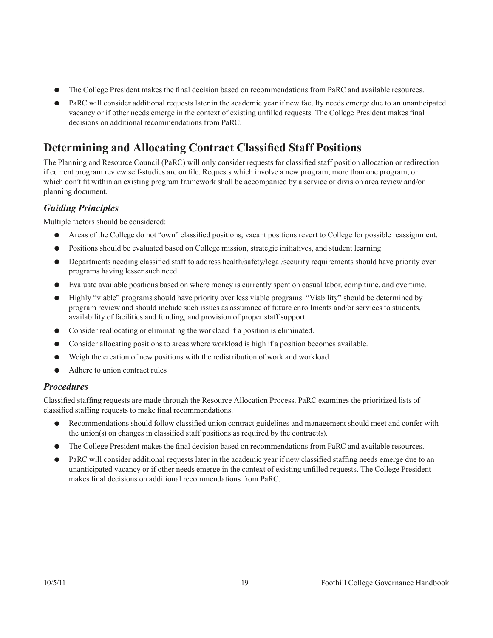- <span id="page-21-0"></span>The College President makes the final decision based on recommendations from PaRC and available resources.
- PaRC will consider additional requests later in the academic year if new faculty needs emerge due to an unanticipated vacancy or if other needs emerge in the context of existing unfilled requests. The College President makes final decisions on additional recommendations from PaRC.

## **Determining and Allocating Contract Classified Staff Positions**

The Planning and Resource Council (PaRC) will only consider requests for classified staff position allocation or redirection if current program review self-studies are on file. Requests which involve a new program, more than one program, or which don't fit within an existing program framework shall be accompanied by a service or division area review and/or planning document.

#### *Guiding Principles*

Multiple factors should be considered:

- Areas of the College do not "own" classified positions; vacant positions revert to College for possible reassignment.
- Positions should be evaluated based on College mission, strategic initiatives, and student learning
- Departments needing classified staff to address health/safety/legal/security requirements should have priority over programs having lesser such need.
- Evaluate available positions based on where money is currently spent on casual labor, comp time, and overtime.
- Highly "viable" programs should have priority over less viable programs. "Viability" should be determined by program review and should include such issues as assurance of future enrollments and/or services to students, availability of facilities and funding, and provision of proper staff support.
- Consider reallocating or eliminating the workload if a position is eliminated.
- Consider allocating positions to areas where workload is high if a position becomes available.
- Weigh the creation of new positions with the redistribution of work and workload.
- Adhere to union contract rules

#### *Procedures*

Classified staffing requests are made through the Resource Allocation Process. PaRC examines the prioritized lists of classified staffing requests to make final recommendations.

- Recommendations should follow classified union contract guidelines and management should meet and confer with the union(s) on changes in classified staff positions as required by the contract(s).
- The College President makes the final decision based on recommendations from PaRC and available resources.
- PaRC will consider additional requests later in the academic year if new classified staffing needs emerge due to an unanticipated vacancy or if other needs emerge in the context of existing unfilled requests. The College President makes final decisions on additional recommendations from PaRC.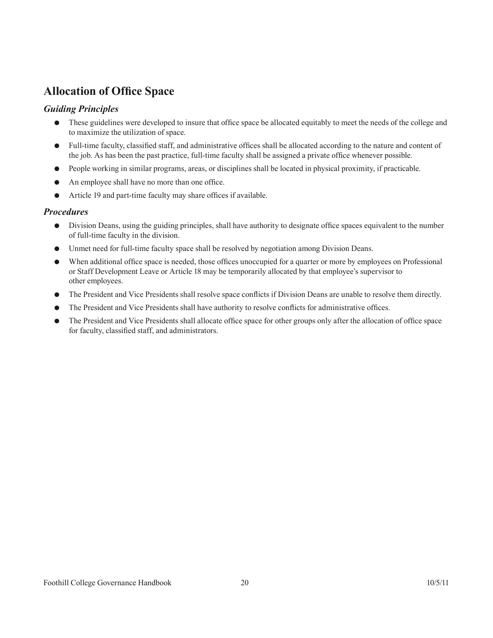## <span id="page-22-0"></span>**Allocation of Office Space**

#### *Guiding Principles*

- These guidelines were developed to insure that office space be allocated equitably to meet the needs of the college and to maximize the utilization of space.
- Full-time faculty, classified staff, and administrative offices shall be allocated according to the nature and content of the job. As has been the past practice, full-time faculty shall be assigned a private office whenever possible.
- People working in similar programs, areas, or disciplines shall be located in physical proximity, if practicable.
- An employee shall have no more than one office.
- Article 19 and part-time faculty may share offices if available.

#### *Procedures*

- Division Deans, using the guiding principles, shall have authority to designate office spaces equivalent to the number of full-time faculty in the division.
- Unmet need for full-time faculty space shall be resolved by negotiation among Division Deans.
- When additional office space is needed, those offices unoccupied for a quarter or more by employees on Professional or Staff Development Leave or Article 18 may be temporarily allocated by that employee's supervisor to other employees.
- The President and Vice Presidents shall resolve space conflicts if Division Deans are unable to resolve them directly.
- The President and Vice Presidents shall have authority to resolve conflicts for administrative offices.
- The President and Vice Presidents shall allocate office space for other groups only after the allocation of office space for faculty, classified staff, and administrators.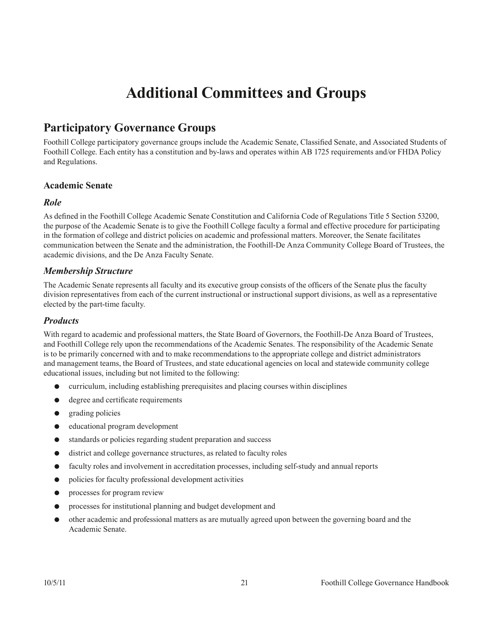## **Additional Committees and Groups**

## <span id="page-23-0"></span>**Participatory Governance Groups**

Foothill College participatory governance groups include the Academic Senate, Classified Senate, and Associated Students of Foothill College. Each entity has a constitution and by-laws and operates within AB 1725 requirements and/or FHDA Policy and Regulations.

#### **Academic Senate**

#### *Role*

As defined in the Foothill College Academic Senate Constitution and California Code of Regulations Title 5 Section 53200, the purpose of the Academic Senate is to give the Foothill College faculty a formal and effective procedure for participating in the formation of college and district policies on academic and professional matters. Moreover, the Senate facilitates communication between the Senate and the administration, the Foothill-De Anza Community College Board of Trustees, the academic divisions, and the De Anza Faculty Senate.

#### *Membership Structure*

The Academic Senate represents all faculty and its executive group consists of the officers of the Senate plus the faculty division representatives from each of the current instructional or instructional support divisions, as well as a representative elected by the part-time faculty.

#### *Products*

With regard to academic and professional matters, the State Board of Governors, the Foothill-De Anza Board of Trustees, and Foothill College rely upon the recommendations of the Academic Senates. The responsibility of the Academic Senate is to be primarily concerned with and to make recommendations to the appropriate college and district administrators and management teams, the Board of Trustees, and state educational agencies on local and statewide community college educational issues, including but not limited to the following:

- curriculum, including establishing prerequisites and placing courses within disciplines
- degree and certificate requirements
- grading policies
- educational program development
- standards or policies regarding student preparation and success
- district and college governance structures, as related to faculty roles
- faculty roles and involvement in accreditation processes, including self-study and annual reports
- policies for faculty professional development activities
- processes for program review
- processes for institutional planning and budget development and
- other academic and professional matters as are mutually agreed upon between the governing board and the Academic Senate.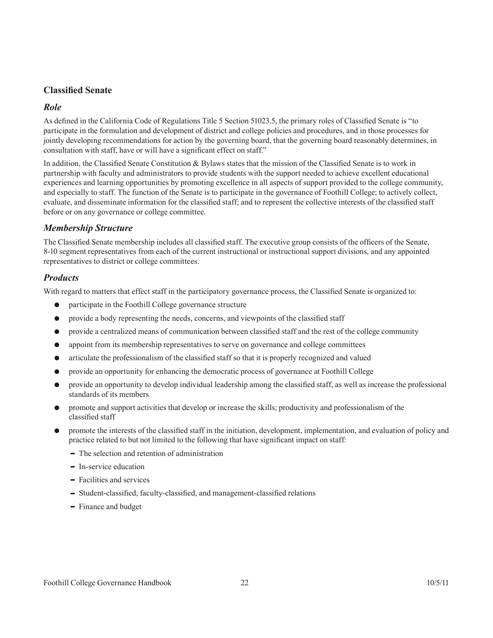#### **Classified Senate**

#### *Role*

As defined in the California Code of Regulations Title 5 Section 51023.5, the primary roles of Classified Senate is "to participate in the formulation and development of district and college policies and procedures, and in those processes for jointly developing recommendations for action by the governing board, that the governing board reasonably determines, in consultation with staff, have or will have a significant effect on staff."

In addition, the Classified Senate Constitution & Bylaws states that the mission of the Classified Senate is to work in partnership with faculty and administrators to provide students with the support needed to achieve excellent educational experiences and learning opportunities by promoting excellence in all aspects of support provided to the college community, and especially to staff. The function of the Senate is to participate in the governance of Foothill College; to actively collect, evaluate, and disseminate information for the classified staff; and to represent the collective interests of the classified staff before or on any governance or college committee.

#### *Membership Structure*

The Classified Senate membership includes all classified staff. The executive group consists of the officers of the Senate, 8-10 segment representatives from each of the current instructional or instructional support divisions, and any appointed representatives to district or college committees.

#### *Products*

With regard to matters that effect staff in the participatory governance process, the Classified Senate is organized to:

- participate in the Foothill College governance structure
- provide a body representing the needs, concerns, and viewpoints of the classified staff
- provide a centralized means of communication between classified staff and the rest of the college community
- appoint from its membership representatives to serve on governance and college committees
- articulate the professionalism of the classified staff so that it is properly recognized and valued
- provide an opportunity for enhancing the democratic process of governance at Foothill College
- provide an opportunity to develop individual leadership among the classified staff, as well as increase the professional standards of its members
- promote and support activities that develop or increase the skills; productivity and professionalism of the classified staff
- promote the interests of the classified staff in the initiation, development, implementation, and evaluation of policy and practice related to but not limited to the following that have significant impact on staff:
	- The selection and retention of administration
	- In-service education
	- Facilities and services
	- Student-classified, faculty-classified, and management-classified relations
	- Finance and budget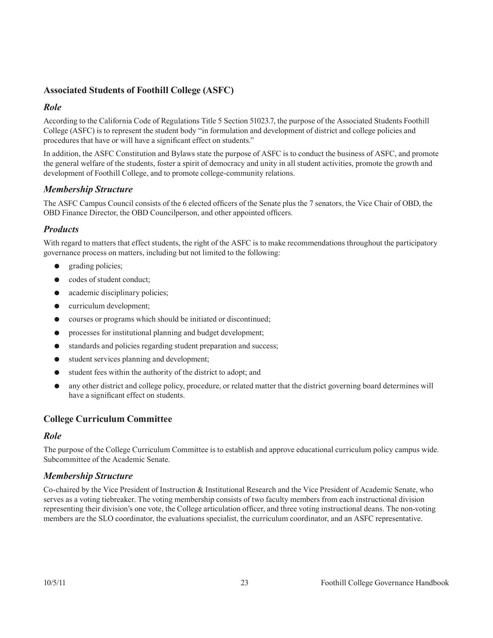#### **Associated Students of Foothill College (ASFC)**

#### *Role*

According to the California Code of Regulations Title 5 Section 51023.7, the purpose of the Associated Students Foothill College (ASFC) is to represent the student body "in formulation and development of district and college policies and procedures that have or will have a significant effect on students."

In addition, the ASFC Constitution and Bylaws state the purpose of ASFC is to conduct the business of ASFC, and promote the general welfare of the students, foster a spirit of democracy and unity in all student activities, promote the growth and development of Foothill College, and to promote college-community relations.

#### *Membership Structure*

The ASFC Campus Council consists of the 6 elected officers of the Senate plus the 7 senators, the Vice Chair of OBD, the OBD Finance Director, the OBD Councilperson, and other appointed officers.

#### *Products*

With regard to matters that effect students, the right of the ASFC is to make recommendations throughout the participatory governance process on matters, including but not limited to the following:

- grading policies;
- codes of student conduct;
- academic disciplinary policies;
- curriculum development;
- courses or programs which should be initiated or discontinued;
- processes for institutional planning and budget development;
- standards and policies regarding student preparation and success;
- student services planning and development;
- student fees within the authority of the district to adopt; and
- any other district and college policy, procedure, or related matter that the district governing board determines will have a significant effect on students.

#### **College Curriculum Committee**

#### *Role*

The purpose of the College Curriculum Committee is to establish and approve educational curriculum policy campus wide. Subcommittee of the Academic Senate.

#### *Membership Structure*

Co-chaired by the Vice President of Instruction & Institutional Research and the Vice President of Academic Senate, who serves as a voting tiebreaker. The voting membership consists of two faculty members from each instructional division representing their division's one vote, the College articulation officer, and three voting instructional deans. The non-voting members are the SLO coordinator, the evaluations specialist, the curriculum coordinator, and an ASFC representative.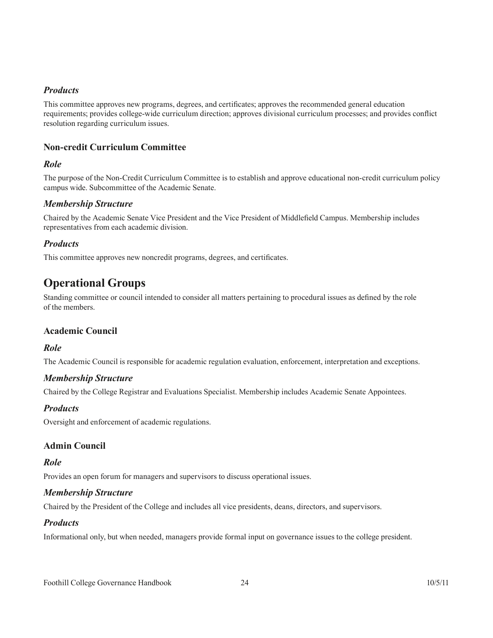#### <span id="page-26-0"></span>*Products*

This committee approves new programs, degrees, and certificates; approves the recommended general education requirements; provides college-wide curriculum direction; approves divisional curriculum processes; and provides conflict resolution regarding curriculum issues.

#### **Non-credit Curriculum Committee**

#### *Role*

The purpose of the Non-Credit Curriculum Committee is to establish and approve educational non-credit curriculum policy campus wide. Subcommittee of the Academic Senate.

#### *Membership Structure*

Chaired by the Academic Senate Vice President and the Vice President of Middlefield Campus. Membership includes representatives from each academic division.

#### *Products*

This committee approves new noncredit programs, degrees, and certificates.

## **Operational Groups**

Standing committee or council intended to consider all matters pertaining to procedural issues as defined by the role of the members.

#### **Academic Council**

#### *Role*

The Academic Council is responsible for academic regulation evaluation, enforcement, interpretation and exceptions.

#### *Membership Structure*

Chaired by the College Registrar and Evaluations Specialist. Membership includes Academic Senate Appointees.

#### *Products*

Oversight and enforcement of academic regulations.

#### **Admin Council**

#### *Role*

Provides an open forum for managers and supervisors to discuss operational issues.

#### *Membership Structure*

Chaired by the President of the College and includes all vice presidents, deans, directors, and supervisors.

#### *Products*

Informational only, but when needed, managers provide formal input on governance issues to the college president.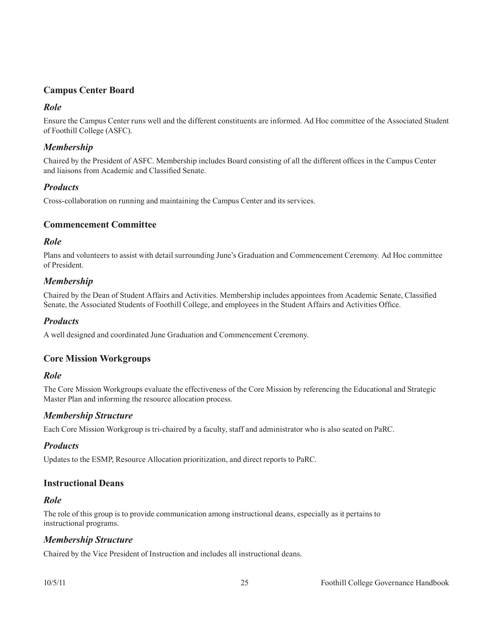#### **Campus Center Board**

#### *Role*

Ensure the Campus Center runs well and the different constituents are informed. Ad Hoc committee of the Associated Student of Foothill College (ASFC).

#### *Membership*

Chaired by the President of ASFC. Membership includes Board consisting of all the different offices in the Campus Center and liaisons from Academic and Classified Senate.

#### *Products*

Cross-collaboration on running and maintaining the Campus Center and its services.

#### **Commencement Committee**

#### *Role*

Plans and volunteers to assist with detail surrounding June's Graduation and Commencement Ceremony. Ad Hoc committee of President.

#### *Membership*

Chaired by the Dean of Student Affairs and Activities. Membership includes appointees from Academic Senate, Classified Senate, the Associated Students of Foothill College, and employees in the Student Affairs and Activities Office.

#### *Products*

A well designed and coordinated June Graduation and Commencement Ceremony.

#### **Core Mission Workgroups**

#### *Role*

The Core Mission Workgroups evaluate the effectiveness of the Core Mission by referencing the Educational and Strategic Master Plan and informing the resource allocation process.

#### *Membership Structure*

Each Core Mission Workgroup is tri-chaired by a faculty, staff and administrator who is also seated on PaRC.

#### *Products*

Updates to the ESMP, Resource Allocation prioritization, and direct reports to PaRC.

#### **Instructional Deans**

#### *Role*

The role of this group is to provide communication among instructional deans, especially as it pertains to instructional programs.

#### *Membership Structure*

Chaired by the Vice President of Instruction and includes all instructional deans.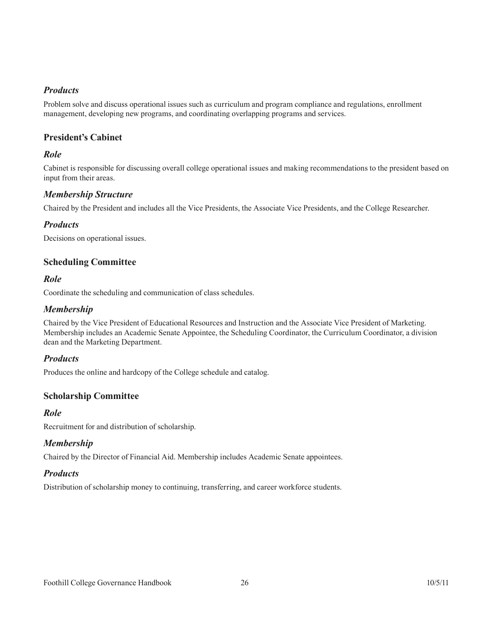#### *Products*

Problem solve and discuss operational issues such as curriculum and program compliance and regulations, enrollment management, developing new programs, and coordinating overlapping programs and services.

#### **President's Cabinet**

#### *Role*

Cabinet is responsible for discussing overall college operational issues and making recommendations to the president based on input from their areas.

#### *Membership Structure*

Chaired by the President and includes all the Vice Presidents, the Associate Vice Presidents, and the College Researcher.

#### *Products*

Decisions on operational issues.

#### **Scheduling Committee**

#### *Role*

Coordinate the scheduling and communication of class schedules.

#### *Membership*

Chaired by the Vice President of Educational Resources and Instruction and the Associate Vice President of Marketing. Membership includes an Academic Senate Appointee, the Scheduling Coordinator, the Curriculum Coordinator, a division dean and the Marketing Department.

#### *Products*

Produces the online and hardcopy of the College schedule and catalog.

#### **Scholarship Committee**

#### *Role*

Recruitment for and distribution of scholarship.

#### *Membership*

Chaired by the Director of Financial Aid. Membership includes Academic Senate appointees.

#### *Products*

Distribution of scholarship money to continuing, transferring, and career workforce students.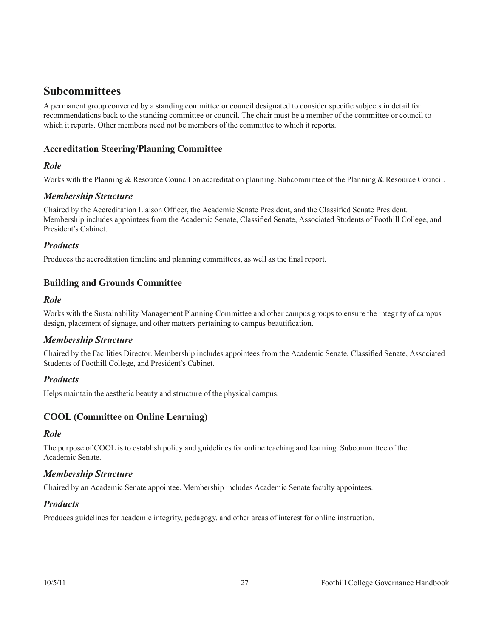## <span id="page-29-0"></span>**Subcommittees**

A permanent group convened by a standing committee or council designated to consider specific subjects in detail for recommendations back to the standing committee or council. The chair must be a member of the committee or council to which it reports. Other members need not be members of the committee to which it reports.

#### **Accreditation Steering/Planning Committee**

#### *Role*

Works with the Planning & Resource Council on accreditation planning. Subcommittee of the Planning & Resource Council.

#### *Membership Structure*

Chaired by the Accreditation Liaison Officer, the Academic Senate President, and the Classified Senate President. Membership includes appointees from the Academic Senate, Classified Senate, Associated Students of Foothill College, and President's Cabinet.

#### *Products*

Produces the accreditation timeline and planning committees, as well as the final report.

#### **Building and Grounds Committee**

#### *Role*

Works with the Sustainability Management Planning Committee and other campus groups to ensure the integrity of campus design, placement of signage, and other matters pertaining to campus beautification.

#### *Membership Structure*

Chaired by the Facilities Director. Membership includes appointees from the Academic Senate, Classified Senate, Associated Students of Foothill College, and President's Cabinet.

#### *Products*

Helps maintain the aesthetic beauty and structure of the physical campus.

#### **COOL (Committee on Online Learning)**

#### *Role*

The purpose of COOL is to establish policy and guidelines for online teaching and learning. Subcommittee of the Academic Senate.

#### *Membership Structure*

Chaired by an Academic Senate appointee. Membership includes Academic Senate faculty appointees.

#### *Products*

Produces guidelines for academic integrity, pedagogy, and other areas of interest for online instruction.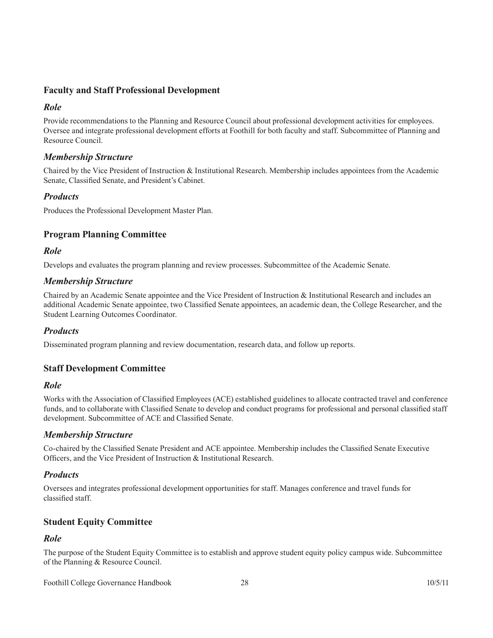#### **Faculty and Staff Professional Development**

#### *Role*

Provide recommendations to the Planning and Resource Council about professional development activities for employees. Oversee and integrate professional development efforts at Foothill for both faculty and staff. Subcommittee of Planning and Resource Council.

#### *Membership Structure*

Chaired by the Vice President of Instruction & Institutional Research. Membership includes appointees from the Academic Senate, Classified Senate, and President's Cabinet.

#### *Products*

Produces the Professional Development Master Plan.

#### **Program Planning Committee**

#### *Role*

Develops and evaluates the program planning and review processes. Subcommittee of the Academic Senate.

#### *Membership Structure*

Chaired by an Academic Senate appointee and the Vice President of Instruction & Institutional Research and includes an additional Academic Senate appointee, two Classified Senate appointees, an academic dean, the College Researcher, and the Student Learning Outcomes Coordinator.

#### *Products*

Disseminated program planning and review documentation, research data, and follow up reports.

#### **Staff Development Committee**

#### *Role*

Works with the Association of Classified Employees (ACE) established guidelines to allocate contracted travel and conference funds, and to collaborate with Classified Senate to develop and conduct programs for professional and personal classified staff development. Subcommittee of ACE and Classified Senate.

#### *Membership Structure*

Co-chaired by the Classified Senate President and ACE appointee. Membership includes the Classified Senate Executive Officers, and the Vice President of Instruction & Institutional Research.

#### *Products*

Oversees and integrates professional development opportunities for staff. Manages conference and travel funds for classified staff.

#### **Student Equity Committee**

#### *Role*

The purpose of the Student Equity Committee is to establish and approve student equity policy campus wide. Subcommittee of the Planning & Resource Council.

Foothill College Governance Handbook 28 10/5/11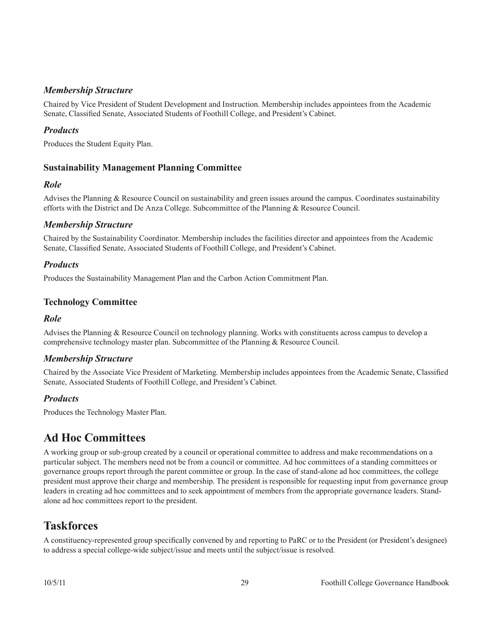#### <span id="page-31-0"></span>*Membership Structure*

Chaired by Vice President of Student Development and Instruction. Membership includes appointees from the Academic Senate, Classified Senate, Associated Students of Foothill College, and President's Cabinet.

#### *Products*

Produces the Student Equity Plan.

#### **Sustainability Management Planning Committee**

#### *Role*

Advises the Planning & Resource Council on sustainability and green issues around the campus. Coordinates sustainability efforts with the District and De Anza College. Subcommittee of the Planning & Resource Council.

#### *Membership Structure*

Chaired by the Sustainability Coordinator. Membership includes the facilities director and appointees from the Academic Senate, Classified Senate, Associated Students of Foothill College, and President's Cabinet.

#### *Products*

Produces the Sustainability Management Plan and the Carbon Action Commitment Plan.

#### **Technology Committee**

#### *Role*

Advises the Planning & Resource Council on technology planning. Works with constituents across campus to develop a comprehensive technology master plan. Subcommittee of the Planning & Resource Council.

#### *Membership Structure*

Chaired by the Associate Vice President of Marketing. Membership includes appointees from the Academic Senate, Classified Senate, Associated Students of Foothill College, and President's Cabinet.

#### *Products*

Produces the Technology Master Plan.

## **Ad Hoc Committees**

A working group or sub-group created by a council or operational committee to address and make recommendations on a particular subject. The members need not be from a council or committee. Ad hoc committees of a standing committees or governance groups report through the parent committee or group. In the case of stand-alone ad hoc committees, the college president must approve their charge and membership. The president is responsible for requesting input from governance group leaders in creating ad hoc committees and to seek appointment of members from the appropriate governance leaders. Standalone ad hoc committees report to the president.

### **Taskforces**

A constituency-represented group specifically convened by and reporting to PaRC or to the President (or President's designee) to address a special college-wide subject/issue and meets until the subject/issue is resolved.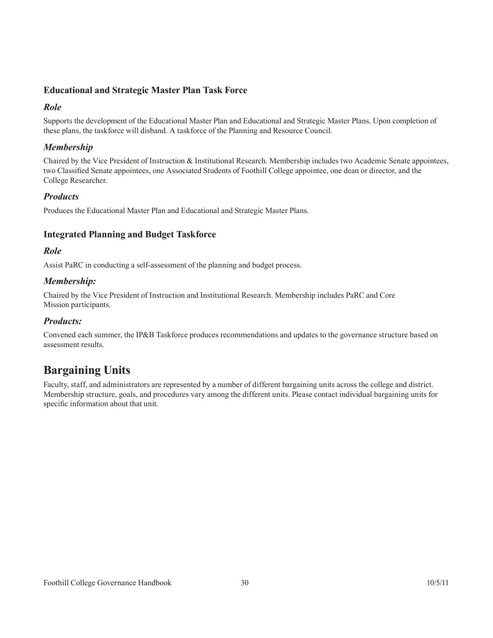#### <span id="page-32-0"></span>**Educational and Strategic Master Plan Task Force**

#### *Role*

Supports the development of the Educational Master Plan and Educational and Strategic Master Plans. Upon completion of these plans, the taskforce will disband. A taskforce of the Planning and Resource Council.

#### *Membership*

Chaired by the Vice President of Instruction & Institutional Research. Membership includes two Academic Senate appointees, two Classified Senate appointees, one Associated Students of Foothill College appointee, one dean or director, and the College Researcher.

#### *Products*

Produces the Educational Master Plan and Educational and Strategic Master Plans.

#### **Integrated Planning and Budget Taskforce**

#### *Role*

Assist PaRC in conducting a self-assessment of the planning and budget process.

#### *Membership:*

Chaired by the Vice President of Instruction and Institutional Research. Membership includes PaRC and Core Mission participants.

#### *Products:*

Convened each summer, the IP&B Taskforce produces recommendations and updates to the governance structure based on assessment results.

## **Bargaining Units**

Faculty, staff, and administrators are represented by a number of different bargaining units across the college and district. Membership structure, goals, and procedures vary among the different units. Please contact individual bargaining units for specific information about that unit.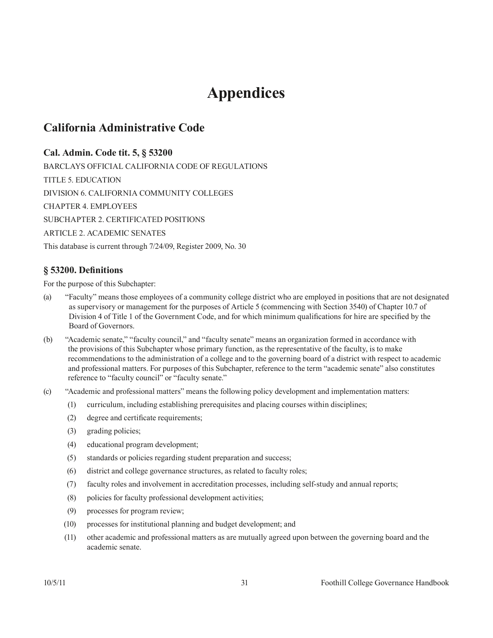## **Appendices**

### <span id="page-33-0"></span>**California Administrative Code**

#### **Cal. Admin. Code tit. 5, § 53200**

BARCLAYS OFFICIAL CALIFORNIA CODE OF REGULATIONS TITLE 5. EDUCATION DIVISION 6. CALIFORNIA COMMUNITY COLLEGES CHAPTER 4. EMPLOYEES SUBCHAPTER 2. CERTIFICATED POSITIONS ARTICLE 2. ACADEMIC SENATES This database is current through 7/24/09, Register 2009, No. 30

#### **§ 53200. Definitions**

For the purpose of this Subchapter:

- (a) "Faculty" means those employees of a community college district who are employed in positions that are not designated as supervisory or management for the purposes of Article 5 (commencing with Section 3540) of Chapter 10.7 of Division 4 of Title 1 of the Government Code, and for which minimum qualifications for hire are specified by the Board of Governors.
- (b) "Academic senate," "faculty council," and "faculty senate" means an organization formed in accordance with the provisions of this Subchapter whose primary function, as the representative of the faculty, is to make recommendations to the administration of a college and to the governing board of a district with respect to academic and professional matters. For purposes of this Subchapter, reference to the term "academic senate" also constitutes reference to "faculty council" or "faculty senate."
- (c) "Academic and professional matters" means the following policy development and implementation matters:
	- (1) curriculum, including establishing prerequisites and placing courses within disciplines;
	- (2) degree and certificate requirements;
	- (3) grading policies;
	- (4) educational program development;
	- (5) standards or policies regarding student preparation and success;
	- (6) district and college governance structures, as related to faculty roles;
	- (7) faculty roles and involvement in accreditation processes, including self-study and annual reports;
	- (8) policies for faculty professional development activities;
	- (9) processes for program review;
	- (10) processes for institutional planning and budget development; and
	- (11) other academic and professional matters as are mutually agreed upon between the governing board and the academic senate.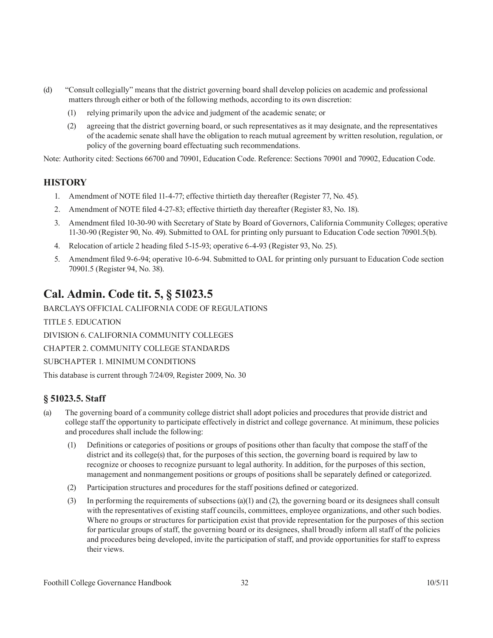- <span id="page-34-0"></span>(d) "Consult collegially" means that the district governing board shall develop policies on academic and professional matters through either or both of the following methods, according to its own discretion:
	- (1) relying primarily upon the advice and judgment of the academic senate; or
	- (2) agreeing that the district governing board, or such representatives as it may designate, and the representatives of the academic senate shall have the obligation to reach mutual agreement by written resolution, regulation, or policy of the governing board effectuating such recommendations.

Note: Authority cited: Sections 66700 and 70901, Education Code. Reference: Sections 70901 and 70902, Education Code.

#### **HISTORY**

- 1. Amendment of NOTE filed 11-4-77; effective thirtieth day thereafter (Register 77, No. 45).
- 2. Amendment of NOTE filed 4-27-83; effective thirtieth day thereafter (Register 83, No. 18).
- 3. Amendment filed 10-30-90 with Secretary of State by Board of Governors, California Community Colleges; operative 11-30-90 (Register 90, No. 49). Submitted to OAL for printing only pursuant to Education Code section 70901.5(b).
- 4. Relocation of article 2 heading filed 5-15-93; operative 6-4-93 (Register 93, No. 25).
- 5. Amendment filed 9-6-94; operative 10-6-94. Submitted to OAL for printing only pursuant to Education Code section 70901.5 (Register 94, No. 38).

## **Cal. Admin. Code tit. 5, § 51023.5**

BARCLAYS OFFICIAL CALIFORNIA CODE OF REGULATIONS

TITLE 5. EDUCATION

DIVISION 6. CALIFORNIA COMMUNITY COLLEGES

CHAPTER 2. COMMUNITY COLLEGE STANDARDS

SUBCHAPTER 1. MINIMUM CONDITIONS

This database is current through 7/24/09, Register 2009, No. 30

#### **§ 51023.5. Staff**

- (a) The governing board of a community college district shall adopt policies and procedures that provide district and college staff the opportunity to participate effectively in district and college governance. At minimum, these policies and procedures shall include the following:
	- (1) Definitions or categories of positions or groups of positions other than faculty that compose the staff of the district and its college(s) that, for the purposes of this section, the governing board is required by law to recognize or chooses to recognize pursuant to legal authority. In addition, for the purposes of this section, management and nonmangement positions or groups of positions shall be separately defined or categorized.
	- (2) Participation structures and procedures for the staff positions defined or categorized.
	- (3) In performing the requirements of subsections (a)(1) and (2), the governing board or its designees shall consult with the representatives of existing staff councils, committees, employee organizations, and other such bodies. Where no groups or structures for participation exist that provide representation for the purposes of this section for particular groups of staff, the governing board or its designees, shall broadly inform all staff of the policies and procedures being developed, invite the participation of staff, and provide opportunities for staff to express their views.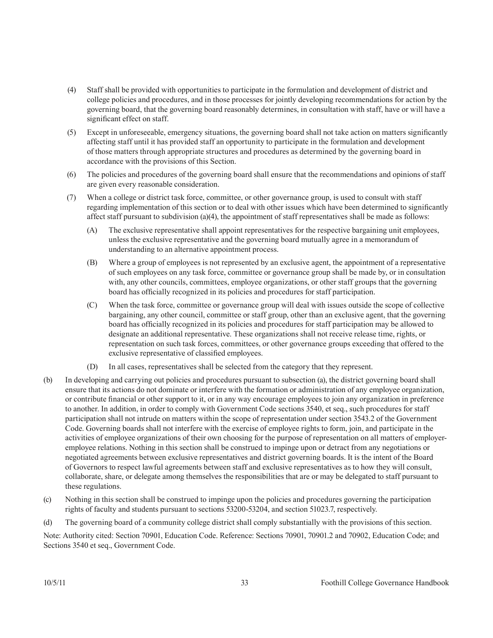- (4) Staff shall be provided with opportunities to participate in the formulation and development of district and college policies and procedures, and in those processes for jointly developing recommendations for action by the governing board, that the governing board reasonably determines, in consultation with staff, have or will have a significant effect on staff.
- (5) Except in unforeseeable, emergency situations, the governing board shall not take action on matters significantly affecting staff until it has provided staff an opportunity to participate in the formulation and development of those matters through appropriate structures and procedures as determined by the governing board in accordance with the provisions of this Section.
- (6) The policies and procedures of the governing board shall ensure that the recommendations and opinions of staff are given every reasonable consideration.
- (7) When a college or district task force, committee, or other governance group, is used to consult with staff regarding implementation of this section or to deal with other issues which have been determined to significantly affect staff pursuant to subdivision (a)(4), the appointment of staff representatives shall be made as follows:
	- (A) The exclusive representative shall appoint representatives for the respective bargaining unit employees, unless the exclusive representative and the governing board mutually agree in a memorandum of understanding to an alternative appointment process.
	- (B) Where a group of employees is not represented by an exclusive agent, the appointment of a representative of such employees on any task force, committee or governance group shall be made by, or in consultation with, any other councils, committees, employee organizations, or other staff groups that the governing board has officially recognized in its policies and procedures for staff participation.
	- (C) When the task force, committee or governance group will deal with issues outside the scope of collective bargaining, any other council, committee or staff group, other than an exclusive agent, that the governing board has officially recognized in its policies and procedures for staff participation may be allowed to designate an additional representative. These organizations shall not receive release time, rights, or representation on such task forces, committees, or other governance groups exceeding that offered to the exclusive representative of classified employees.
	- (D) In all cases, representatives shall be selected from the category that they represent.
- (b) In developing and carrying out policies and procedures pursuant to subsection (a), the district governing board shall ensure that its actions do not dominate or interfere with the formation or administration of any employee organization, or contribute financial or other support to it, or in any way encourage employees to join any organization in preference to another. In addition, in order to comply with Government Code sections 3540, et seq., such procedures for staff participation shall not intrude on matters within the scope of representation under section 3543.2 of the Government Code. Governing boards shall not interfere with the exercise of employee rights to form, join, and participate in the activities of employee organizations of their own choosing for the purpose of representation on all matters of employeremployee relations. Nothing in this section shall be construed to impinge upon or detract from any negotiations or negotiated agreements between exclusive representatives and district governing boards. It is the intent of the Board of Governors to respect lawful agreements between staff and exclusive representatives as to how they will consult, collaborate, share, or delegate among themselves the responsibilities that are or may be delegated to staff pursuant to these regulations.
- (c) Nothing in this section shall be construed to impinge upon the policies and procedures governing the participation rights of faculty and students pursuant to sections 53200-53204, and section 51023.7, respectively.
- (d) The governing board of a community college district shall comply substantially with the provisions of this section.

Note: Authority cited: Section 70901, Education Code. Reference: Sections 70901, 70901.2 and 70902, Education Code; and Sections 3540 et seq., Government Code.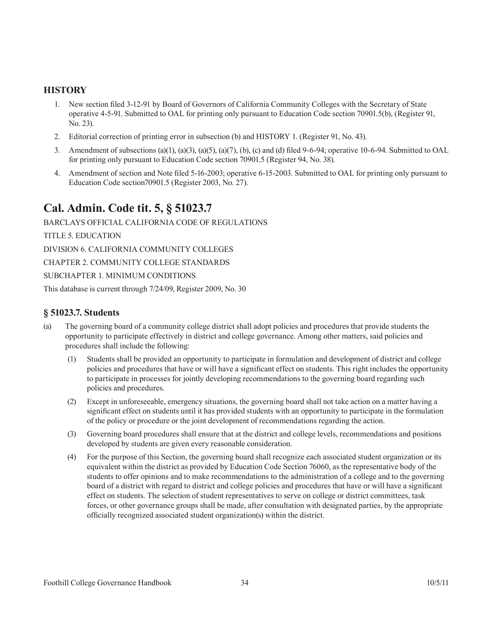#### <span id="page-36-0"></span>**HISTORY**

- 1. New section filed 3-12-91 by Board of Governors of California Community Colleges with the Secretary of State operative 4-5-91. Submitted to OAL for printing only pursuant to Education Code section 70901.5(b), (Register 91, No. 23).
- 2. Editorial correction of printing error in subsection (b) and HISTORY 1. (Register 91, No. 43).
- 3. Amendment of subsections (a)(1), (a)(3), (a)(5), (a)(7), (b), (c) and (d) filed 9-6-94; operative 10-6-94. Submitted to OAL for printing only pursuant to Education Code section 70901.5 (Register 94, No. 38).
- 4. Amendment of section and Note filed 5-16-2003; operative 6-15-2003. Submitted to OAL for printing only pursuant to Education Code section70901.5 (Register 2003, No. 27).

### **Cal. Admin. Code tit. 5, § 51023.7**

BARCLAYS OFFICIAL CALIFORNIA CODE OF REGULATIONS

TITLE 5. EDUCATION

DIVISION 6. CALIFORNIA COMMUNITY COLLEGES

CHAPTER 2. COMMUNITY COLLEGE STANDARDS

SUBCHAPTER 1. MINIMUM CONDITIONS

This database is current through 7/24/09, Register 2009, No. 30

#### **§ 51023.7. Students**

- (a) The governing board of a community college district shall adopt policies and procedures that provide students the opportunity to participate effectively in district and college governance. Among other matters, said policies and procedures shall include the following:
	- (1) Students shall be provided an opportunity to participate in formulation and development of district and college policies and procedures that have or will have a significant effect on students. This right includes the opportunity to participate in processes for jointly developing recommendations to the governing board regarding such policies and procedures.
	- (2) Except in unforeseeable, emergency situations, the governing board shall not take action on a matter having a significant effect on students until it has provided students with an opportunity to participate in the formulation of the policy or procedure or the joint development of recommendations regarding the action.
	- (3) Governing board procedures shall ensure that at the district and college levels, recommendations and positions developed by students are given every reasonable consideration.
	- (4) For the purpose of this Section, the governing board shall recognize each associated student organization or its equivalent within the district as provided by Education Code Section 76060, as the representative body of the students to offer opinions and to make recommendations to the administration of a college and to the governing board of a district with regard to district and college policies and procedures that have or will have a significant effect on students. The selection of student representatives to serve on college or district committees, task forces, or other governance groups shall be made, after consultation with designated parties, by the appropriate officially recognized associated student organization(s) within the district.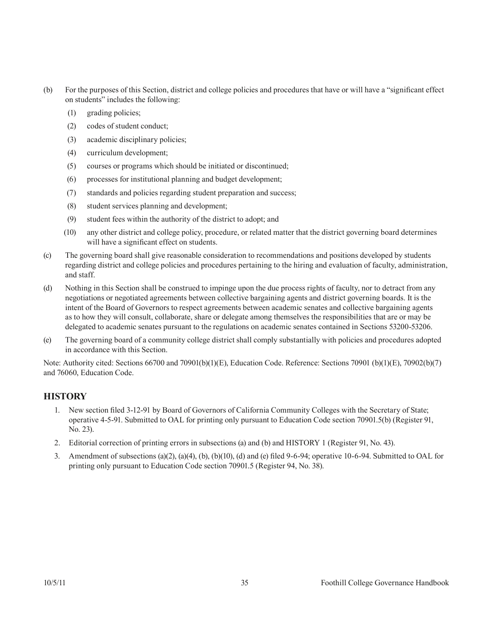- (b) For the purposes of this Section, district and college policies and procedures that have or will have a "significant effect on students" includes the following:
	- (1) grading policies;
	- (2) codes of student conduct;
	- (3) academic disciplinary policies;
	- (4) curriculum development;
	- (5) courses or programs which should be initiated or discontinued;
	- (6) processes for institutional planning and budget development;
	- (7) standards and policies regarding student preparation and success;
	- (8) student services planning and development;
	- (9) student fees within the authority of the district to adopt; and
	- (10) any other district and college policy, procedure, or related matter that the district governing board determines will have a significant effect on students.
- (c) The governing board shall give reasonable consideration to recommendations and positions developed by students regarding district and college policies and procedures pertaining to the hiring and evaluation of faculty, administration, and staff.
- (d) Nothing in this Section shall be construed to impinge upon the due process rights of faculty, nor to detract from any negotiations or negotiated agreements between collective bargaining agents and district governing boards. It is the intent of the Board of Governors to respect agreements between academic senates and collective bargaining agents as to how they will consult, collaborate, share or delegate among themselves the responsibilities that are or may be delegated to academic senates pursuant to the regulations on academic senates contained in Sections 53200-53206.
- (e) The governing board of a community college district shall comply substantially with policies and procedures adopted in accordance with this Section.

Note: Authority cited: Sections 66700 and 70901(b)(1)(E), Education Code. Reference: Sections 70901 (b)(1)(E), 70902(b)(7) and 76060, Education Code.

#### **HISTORY**

- 1. New section filed 3-12-91 by Board of Governors of California Community Colleges with the Secretary of State; operative 4-5-91. Submitted to OAL for printing only pursuant to Education Code section 70901.5(b) (Register 91, No. 23).
- 2. Editorial correction of printing errors in subsections (a) and (b) and HISTORY 1 (Register 91, No. 43).
- 3. Amendment of subsections (a)(2), (a)(4), (b), (b)(10), (d) and (e) filed 9-6-94; operative 10-6-94. Submitted to OAL for printing only pursuant to Education Code section 70901.5 (Register 94, No. 38).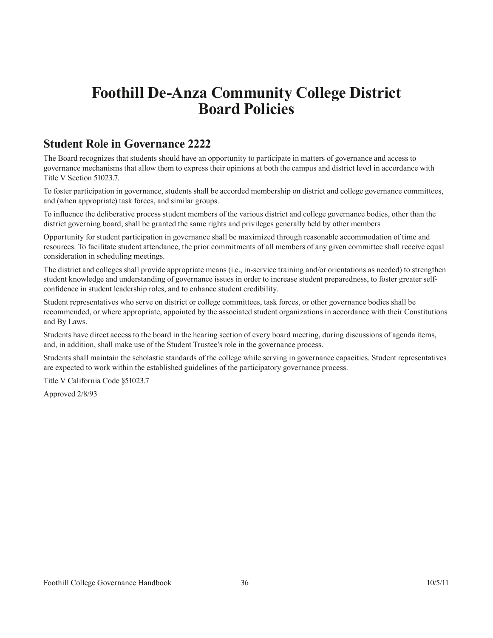## <span id="page-38-0"></span>**Foothill De-Anza Community College District Board Policies**

### **Student Role in Governance 2222**

The Board recognizes that students should have an opportunity to participate in matters of governance and access to governance mechanisms that allow them to express their opinions at both the campus and district level in accordance with Title V Section 51023.7.

To foster participation in governance, students shall be accorded membership on district and college governance committees, and (when appropriate) task forces, and similar groups.

To influence the deliberative process student members of the various district and college governance bodies, other than the district governing board, shall be granted the same rights and privileges generally held by other members

Opportunity for student participation in governance shall be maximized through reasonable accommodation of time and resources. To facilitate student attendance, the prior commitments of all members of any given committee shall receive equal consideration in scheduling meetings.

The district and colleges shall provide appropriate means (i.e., in-service training and/or orientations as needed) to strengthen student knowledge and understanding of governance issues in order to increase student preparedness, to foster greater selfconfidence in student leadership roles, and to enhance student credibility.

Student representatives who serve on district or college committees, task forces, or other governance bodies shall be recommended, or where appropriate, appointed by the associated student organizations in accordance with their Constitutions and By Laws.

Students have direct access to the board in the hearing section of every board meeting, during discussions of agenda items, and, in addition, shall make use of the Student Trustee's role in the governance process.

Students shall maintain the scholastic standards of the college while serving in governance capacities. Student representatives are expected to work within the established guidelines of the participatory governance process.

Title V California Code §51023.7

Approved 2/8/93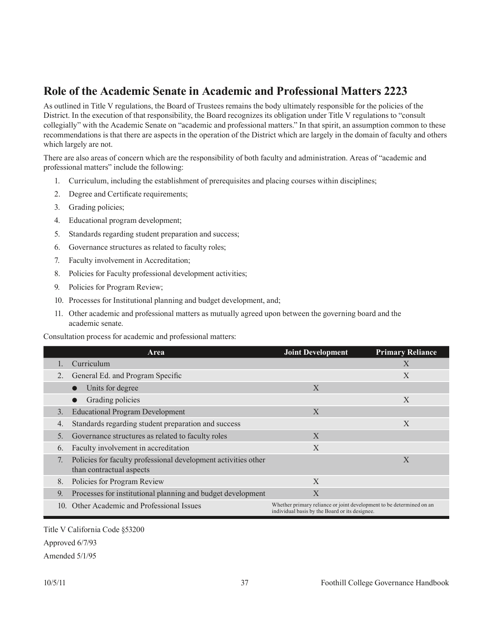## <span id="page-39-0"></span>**Role of the Academic Senate in Academic and Professional Matters 2223**

As outlined in Title V regulations, the Board of Trustees remains the body ultimately responsible for the policies of the District. In the execution of that responsibility, the Board recognizes its obligation under Title V regulations to "consult collegially" with the Academic Senate on "academic and professional matters." In that spirit, an assumption common to these recommendations is that there are aspects in the operation of the District which are largely in the domain of faculty and others which largely are not.

There are also areas of concern which are the responsibility of both faculty and administration. Areas of "academic and professional matters" include the following:

- 1. Curriculum, including the establishment of prerequisites and placing courses within disciplines;
- 2. Degree and Certificate requirements;
- 3. Grading policies;
- 4. Educational program development;
- 5. Standards regarding student preparation and success;
- 6. Governance structures as related to faculty roles;
- 7. Faculty involvement in Accreditation;
- 8. Policies for Faculty professional development activities;
- 9. Policies for Program Review;
- 10. Processes for Institutional planning and budget development, and;
- 11. Other academic and professional matters as mutually agreed upon between the governing board and the academic senate.

Consultation process for academic and professional matters:

|                | Area                                                                                       | <b>Joint Development</b>                                                                                               | <b>Primary Reliance</b> |
|----------------|--------------------------------------------------------------------------------------------|------------------------------------------------------------------------------------------------------------------------|-------------------------|
|                | Curriculum                                                                                 |                                                                                                                        | X                       |
| $2_{\cdot}$    | General Ed. and Program Specific                                                           |                                                                                                                        | X                       |
|                | Units for degree                                                                           | $\mathbf{X}$                                                                                                           |                         |
|                | Grading policies                                                                           |                                                                                                                        | X                       |
| 3.             | <b>Educational Program Development</b>                                                     | $\mathbf{X}$                                                                                                           |                         |
| 4.             | Standards regarding student preparation and success                                        |                                                                                                                        | X                       |
| 5 <sub>1</sub> | Governance structures as related to faculty roles                                          | X                                                                                                                      |                         |
| 6.             | Faculty involvement in accreditation                                                       | $\mathbf{X}$                                                                                                           |                         |
|                | Policies for faculty professional development activities other<br>than contractual aspects |                                                                                                                        | X                       |
| 8.             | Policies for Program Review                                                                | X                                                                                                                      |                         |
| 9.             | Processes for institutional planning and budget development                                | X                                                                                                                      |                         |
|                | 10. Other Academic and Professional Issues                                                 | Whether primary reliance or joint development to be determined on an<br>individual basis by the Board or its designee. |                         |

Title V California Code §53200 Approved 6/7/93 Amended 5/1/95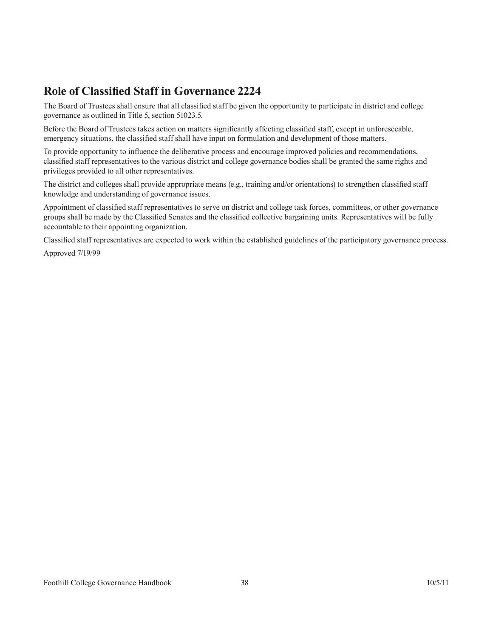## <span id="page-40-0"></span>**Role of Classified Staff in Governance 2224**

The Board of Trustees shall ensure that all classified staff be given the opportunity to participate in district and college governance as outlined in Title 5, section 51023.5.

Before the Board of Trustees takes action on matters significantly affecting classified staff, except in unforeseeable, emergency situations, the classified staff shall have input on formulation and development of those matters.

To provide opportunity to influence the deliberative process and encourage improved policies and recommendations, classified staff representatives to the various district and college governance bodies shall be granted the same rights and privileges provided to all other representatives.

The district and colleges shall provide appropriate means (e.g., training and/or orientations) to strengthen classified staff knowledge and understanding of governance issues.

Appointment of classified staff representatives to serve on district and college task forces, committees, or other governance groups shall be made by the Classified Senates and the classified collective bargaining units. Representatives will be fully accountable to their appointing organization.

Classified staff representatives are expected to work within the established guidelines of the participatory governance process.

Approved 7/19/99